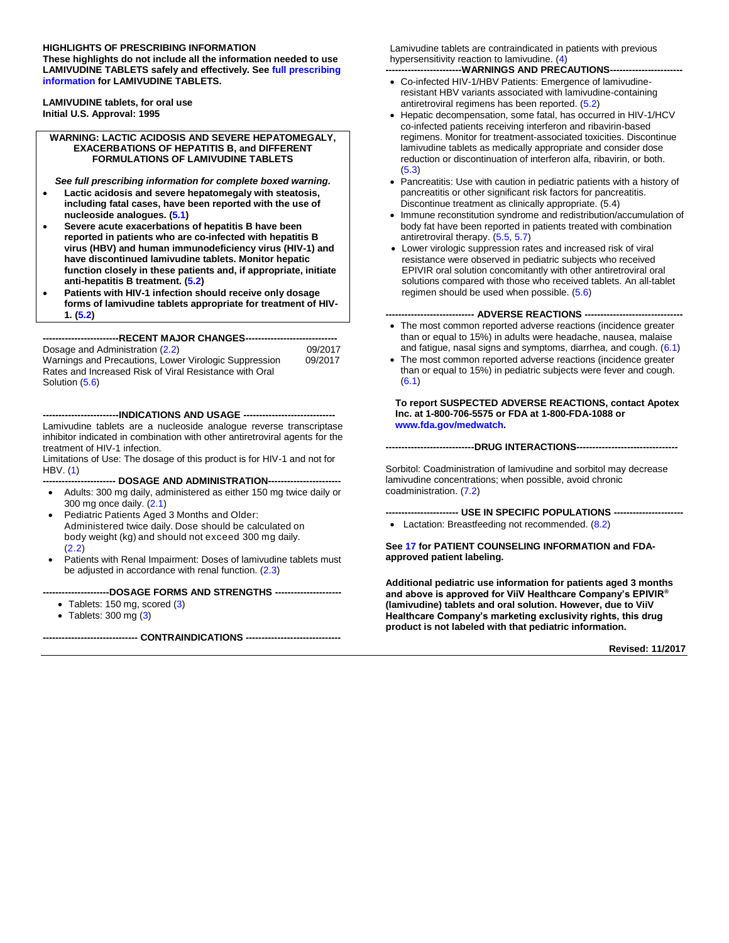#### **HIGHLIGHTS OF PRESCRIBING INFORMATION**

**These highlights do not include all the information needed to use LAMIVUDINE TABLETS safely and effectively. Se[e full prescribing](#page-1-0)  [information](#page-1-0) for LAMIVUDINE TABLETS.** 

**LAMIVUDINE tablets, for oral use Initial U.S. Approval: 1995**

#### **WARNING: LACTIC ACIDOSIS AND SEVERE HEPATOMEGALY, EXACERBATIONS OF HEPATITIS B, and DIFFERENT FORMULATIONS OF LAMIVUDINE TABLETS**

*See full prescribing information for complete boxed warning.*

- **Lactic acidosis and severe hepatomegaly with steatosis, including fatal cases, have been reported with the use of nucleoside analogues. [\(5.1\)](#page-3-0)**
- **Severe acute exacerbations of hepatitis B have been reported in patients who are co-infected with hepatitis B virus (HBV) and human immunodeficiency virus (HIV-1) and have discontinued lamivudine tablets. Monitor hepatic function closely in these patients and, if appropriate, initiate anti-hepatitis B treatment. [\(5.2\)](#page-4-0)**
- **Patients with HIV-1 infection should receive only dosage forms of lamivudine tablets appropriate for treatment of HIV-1. [\(5.2\)](#page-4-0)**

**------------------------RECENT MAJOR CHANGES-----------------------------**

Dosage and Administration [\(2.2\)](#page-2-0) 09/2017 Warnings and Precautions, Lower Virologic Suppression Rates and Increased Risk of Viral Resistance with Oral Solution [\(5.6\)](#page-5-0)

**------------------------INDICATIONS AND USAGE -----------------------------** Lamivudine tablets are a nucleoside analogue reverse transcriptase inhibitor indicated in combination with other antiretroviral agents for the treatment of HIV-1 infection.

Limitations of Use: The dosage of this product is for HIV-1 and not for HBV. [\(1\)](#page-2-1)

**----------------------- DOSAGE AND ADMINISTRATION-----------------------**

- Adults: 300 mg daily, administered as either 150 mg twice daily or 300 mg once daily. [\(2.1\)](#page-2-2)
- Pediatric Patients Aged 3 Months and Older: Administered twice daily. Dose should be calculated on body weight (kg) and should not exceed 300 mg daily. [\(2.2\)](#page-2-0)
- Patients with Renal Impairment: Doses of lamivudine tablets must be adjusted in accordance with renal function. [\(2.3\)](#page-3-1)

**---------------------DOSAGE FORMS AND STRENGTHS ---------------------**

- Tablets: 150 mg, scored [\(3\)](#page-3-2)
- $\bullet$  Tablets: 300 mg [\(3\)](#page-3-2)

**------------------------------ CONTRAINDICATIONS ------------------------------**

Lamivudine tablets are contraindicated in patients with previous hypersensitivity reaction to lamivudine. [\(4\)](#page-3-3)

--WARNINGS AND PRECAUTIONS-

- Co-infected HIV-1/HBV Patients: Emergence of lamivudineresistant HBV variants associated with lamivudine-containing antiretroviral regimens has been reported. [\(5.2\)](#page-4-0)
- Hepatic decompensation, some fatal, has occurred in HIV-1/HCV co-infected patients receiving interferon and ribavirin-based regimens. Monitor for treatment-associated toxicities. Discontinue lamivudine tablets as medically appropriate and consider dose reduction or discontinuation of interferon alfa, ribavirin, or both. [\(5.3\)](#page-4-1)
- Pancreatitis: Use with caution in pediatric patients with a history of pancreatitis or other significant risk factors for pancreatitis. Discontinue treatment as clinically appropriate. (5.4)
- Immune reconstitution syndrome and redistribution/accumulation of body fat have been reported in patients treated with combination antiretroviral therapy. [\(5.5,](#page-5-1) [5.7\)](#page-5-2)
- Lower virologic suppression rates and increased risk of viral resistance were observed in pediatric subjects who received EPIVIR oral solution concomitantly with other antiretroviral oral solutions compared with those who received tablets. An all-tablet regimen should be used when possible. [\(5.6\)](#page-5-0)

#### **---------------------------- ADVERSE REACTIONS -------------------------------**

- The most common reported adverse reactions (incidence greater than or equal to 15%) in adults were headache, nausea, malaise and fatigue, nasal signs and symptoms, diarrhea, and cough. [\(6.1\)](#page-5-3)
- The most common reported adverse reactions (incidence greater than or equal to 15%) in pediatric subjects were fever and cough. [\(6.1\)](#page-5-3)

**To report SUSPECTED ADVERSE REACTIONS, contact Apotex Inc. at 1-800-706-5575 or FDA at 1-800-FDA-1088 or [www.fda.gov/medwatch.](http://www.fda.gov/medwatch)**

**----------------------------DRUG INTERACTIONS--------------------------------**

Sorbitol: Coadministration of lamivudine and sorbitol may decrease lamivudine concentrations; when possible, avoid chronic coadministration. [\(7.2\)](#page-9-0)

**----------------------- USE IN SPECIFIC POPULATIONS ----------------------** • Lactation: Breastfeeding not recommended. [\(8.2\)](#page-10-0)

**Se[e 17](#page-21-0) for PATIENT COUNSELING INFORMATION and FDAapproved patient labeling.**

**Additional pediatric use information for patients aged 3 months and above is approved for ViiV Healthcare Company's EPIVIR® (lamivudine) tablets and oral solution. However, due to ViiV Healthcare Company's marketing exclusivity rights, this drug product is not labeled with that pediatric information.**

**Revised: 11/2017**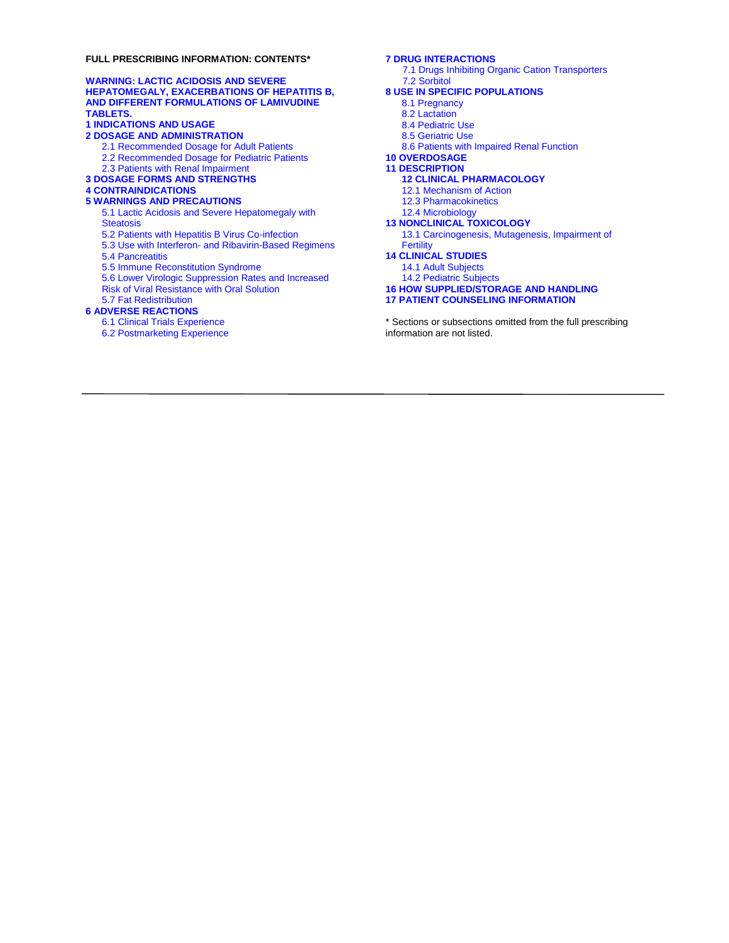#### <span id="page-1-0"></span>**FULL PRESCRIBING INFORMATION: CONTENTS\***

#### **[WARNING: LACTIC ACIDOSIS](#page-2-3) AND SEVERE [HEPATOMEGALY, EXACERBATIONS OF](#page-2-3) HEPATITIS B, AND [DIFFERENT FORMULATIONS OF LAMIVUDINE](#page-2-3)  [TABLETS.](#page-2-3) [1 INDICATIONS AND USAGE](#page-2-1) 2 [DOSAGE AND ADMINISTRATION](#page-2-4)** [2.1 Recommended Dosage for Adult Patients](#page-2-2) [2.2 Recommended Dosage for Pediatric Patients](#page-2-0) [2.3 Patients with Renal Impairment](#page-3-1) **[3 DOSAGE FORMS AND STRENGTHS](#page-3-2) [4 CONTRAINDICATIONS](#page-3-3) [5 WARNINGS AND PRECAUTIONS](#page-3-4)** 5.1 Lactic Acidosis [and Severe Hepatomegaly with](#page-3-0)  **[Steatosis](#page-3-0)** [5.2 Patients with Hepatitis B Virus Co-infection](#page-4-0) 5.3 Use with Interferon- [and Ribavirin-Based Regimens](#page-4-1) 5.4 [Pancreatitis](#page-5-4) 5.5 [Immune Reconstitution Syndrome](#page-5-1) [5.6 Lower Virologic Suppression Rates and Increased](#page-5-0)  [Risk of Viral Resistance with Oral Solution](#page-5-0) [5.7 Fat Redistribution](#page-5-2) **[6 ADVERSE REACTIONS](#page-5-5)** [6.1 Clinical Trials Experience](#page-5-3)

6.2 [Postmarketing Experience](#page-9-1)

#### **[7 DRUG INTERACTIONS](#page-9-2)**

[7.1 Drugs Inhibiting Organic Cation Transporters](#page-9-3) [7.2 Sorbitol](#page-9-0)

- **[8 USE IN SPECIFIC POPULATIONS](#page-10-1)**
	- [8.1 Pregnancy](#page-10-2)
	- [8.2 Lactation](#page-10-0)
		-
	- [8.4 Pediatric Use](#page-11-0) [8.5 Geriatric Use](#page-11-1)
	-
	- [8.6 Patients with Impaired Renal Function](#page-11-2)

**[10 OVERDOSAGE](#page-11-3)**

**[11 DESCRIPTION](#page-11-4)**

- **[12 CLINICAL PHARMACOLOGY](#page-12-0)**
- [12.1 Mechanism of Action](#page-12-1)
- [12.3 Pharmacokinetics](#page-12-2)
- [12.4 Microbiology](#page-16-0)

#### **[13 NONCLINICAL TOXICOLOGY](#page-18-0)**

[13.1 Carcinogenesis, Mutagenesis, Impairment of](#page-18-1)  **[Fertility](#page-18-1)** 

#### **[14 CLINICAL STUDIES](#page-18-2)**

- [14.1 Adult Subjects](#page-18-3)
- [14.2 Pediatric Subjects](#page-20-0)

#### **[16 HOW SUPPLIED/STORAGE AND HANDLING](#page-21-1)**

**[17 PATIENT COUNSELING INFORMATION](#page-21-0)**

\* Sections or subsections omitted from the full prescribing information are not listed.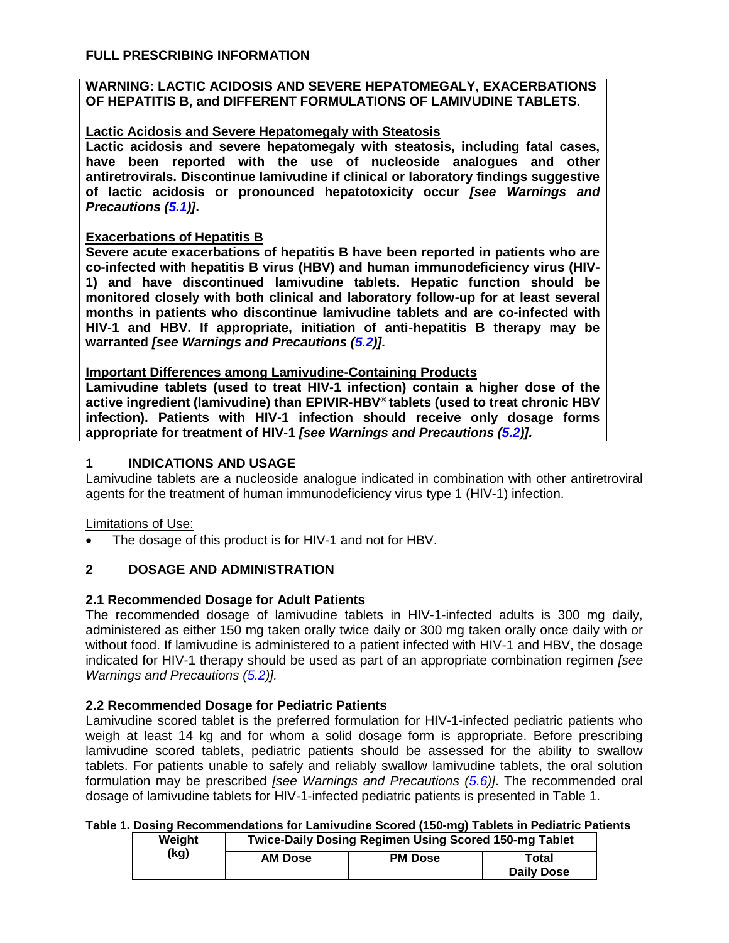### <span id="page-2-3"></span>**WARNING: LACTIC ACIDOSIS AND SEVERE HEPATOMEGALY, EXACERBATIONS OF HEPATITIS B, and DIFFERENT FORMULATIONS OF LAMIVUDINE TABLETS.**

## **Lactic Acidosis and Severe Hepatomegaly with Steatosis**

**Lactic acidosis and severe hepatomegaly with steatosis, including fatal cases, have been reported with the use of nucleoside analogues and other antiretrovirals. Discontinue lamivudine if clinical or laboratory findings suggestive of lactic acidosis or pronounced hepatotoxicity occur** *[see Warnings and Precautions [\(5.1\)](#page-3-0)]***.**

### **Exacerbations of Hepatitis B**

**Severe acute exacerbations of hepatitis B have been reported in patients who are co-infected with hepatitis B virus (HBV) and human immunodeficiency virus (HIV-1) and have discontinued lamivudine tablets. Hepatic function should be monitored closely with both clinical and laboratory follow-up for at least several months in patients who discontinue lamivudine tablets and are co-infected with HIV-1 and HBV. If appropriate, initiation of anti-hepatitis B therapy may be warranted** *[see Warnings and Precautions [\(5.2\)](#page-4-0)].*

## **Important Differences among Lamivudine-Containing Products**

**Lamivudine tablets (used to treat HIV-1 infection) contain a higher dose of the active ingredient (lamivudine) than EPIVIR-HBV**® **tablets (used to treat chronic HBV infection). Patients with HIV-1 infection should receive only dosage forms appropriate for treatment of HIV-1** *[see Warnings and Precautions [\(5.2\)](#page-4-0)].*

## <span id="page-2-1"></span>**1 INDICATIONS AND USAGE**

Lamivudine tablets are a nucleoside analogue indicated in combination with other antiretroviral agents for the treatment of human immunodeficiency virus type 1 (HIV-1) infection.

### Limitations of Use:

The dosage of this product is for HIV-1 and not for HBV.

## <span id="page-2-4"></span>**2 DOSAGE AND ADMINISTRATION**

### <span id="page-2-2"></span>**2.1 Recommended Dosage for Adult Patients**

The recommended dosage of lamivudine tablets in HIV-1-infected adults is 300 mg daily, administered as either 150 mg taken orally twice daily or 300 mg taken orally once daily with or without food. If lamivudine is administered to a patient infected with HIV-1 and HBV, the dosage indicated for HIV-1 therapy should be used as part of an appropriate combination regimen *[see Warnings and Precautions [\(5.2\)](#page-4-0)].*

### <span id="page-2-0"></span>**2.2 Recommended Dosage for Pediatric Patients**

Lamivudine scored tablet is the preferred formulation for HIV-1-infected pediatric patients who weigh at least 14 kg and for whom a solid dosage form is appropriate. Before prescribing lamivudine scored tablets, pediatric patients should be assessed for the ability to swallow tablets. For patients unable to safely and reliably swallow lamivudine tablets, the oral solution formulation may be prescribed *[see Warnings and Precautions [\(5.6\)](#page-5-0)]*. The recommended oral dosage of lamivudine tablets for HIV-1-infected pediatric patients is presented in Table 1.

#### **Table 1. Dosing Recommendations for Lamivudine Scored (150-mg) Tablets in Pediatric Patients Weight Twice-Daily Dosing Regimen Using Scored 150-mg Tablet**

|      | <b>TERRIT</b>  | <b>I WICE-Daily Doality Regnifient Obility Ocoled Too-Ing Tablet</b> |       |                   |  |
|------|----------------|----------------------------------------------------------------------|-------|-------------------|--|
| (kg) | <b>AM Dose</b> | <b>PM Dose</b>                                                       | Total |                   |  |
|      |                |                                                                      |       | <b>Daily Dose</b> |  |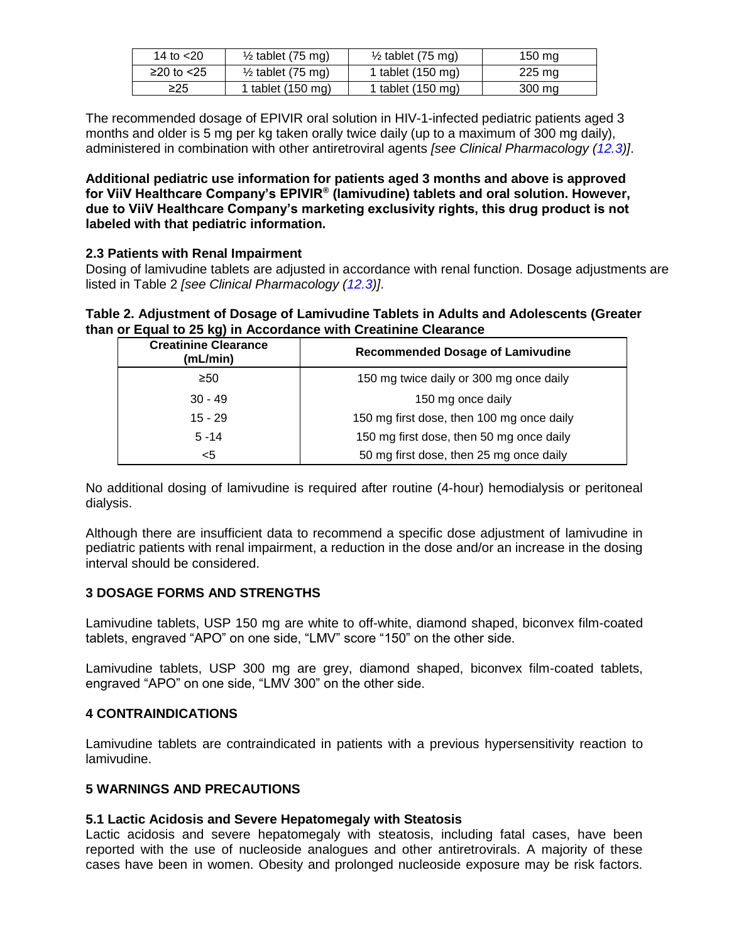| 14 to $<$ 20   | $\frac{1}{2}$ tablet (75 mg) | $\frac{1}{2}$ tablet (75 mg) | 150 mg |
|----------------|------------------------------|------------------------------|--------|
| $≥20$ to $≤25$ | $\frac{1}{2}$ tablet (75 mg) | 1 tablet (150 mg)            | 225 mg |
| ≥25            | 1 tablet (150 mg)            | 1 tablet (150 mg)            | 300 mg |

The recommended dosage of EPIVIR oral solution in HIV-1-infected pediatric patients aged 3 months and older is 5 mg per kg taken orally twice daily (up to a maximum of 300 mg daily), administered in combination with other antiretroviral agents *[see Clinical Pharmacology [\(12.3\)](#page-12-2)]*.

**Additional pediatric use information for patients aged 3 months and above is approved for ViiV Healthcare Company's EPIVIR® (lamivudine) tablets and oral solution. However, due to ViiV Healthcare Company's marketing exclusivity rights, this drug product is not labeled with that pediatric information.**

### <span id="page-3-1"></span>**2.3 Patients with Renal Impairment**

Dosing of lamivudine tablets are adjusted in accordance with renal function. Dosage adjustments are listed in Table 2 *[see Clinical Pharmacology [\(12.3\)](#page-12-2)]*.

**Table 2. Adjustment of Dosage of Lamivudine Tablets in Adults and Adolescents (Greater than or Equal to 25 kg) in Accordance with Creatinine Clearance**

| <b>Creatinine Clearance</b><br>(mL/min) | <b>Recommended Dosage of Lamivudine</b>   |
|-----------------------------------------|-------------------------------------------|
| $\geq 50$                               | 150 mg twice daily or 300 mg once daily   |
| $30 - 49$                               | 150 mg once daily                         |
| $15 - 29$                               | 150 mg first dose, then 100 mg once daily |
| $5 - 14$                                | 150 mg first dose, then 50 mg once daily  |
| <5                                      | 50 mg first dose, then 25 mg once daily   |

No additional dosing of lamivudine is required after routine (4-hour) hemodialysis or peritoneal dialysis.

Although there are insufficient data to recommend a specific dose adjustment of lamivudine in pediatric patients with renal impairment, a reduction in the dose and/or an increase in the dosing interval should be considered.

### <span id="page-3-2"></span>**3 DOSAGE FORMS AND STRENGTHS**

Lamivudine tablets, USP 150 mg are white to off-white, diamond shaped, biconvex film-coated tablets, engraved "APO" on one side, "LMV" score "150" on the other side.

Lamivudine tablets, USP 300 mg are grey, diamond shaped, biconvex film-coated tablets, engraved "APO" on one side, "LMV 300" on the other side.

#### <span id="page-3-3"></span>**4 CONTRAINDICATIONS**

Lamivudine tablets are contraindicated in patients with a previous hypersensitivity reaction to lamivudine.

#### <span id="page-3-4"></span>**5 WARNINGS AND PRECAUTIONS**

### <span id="page-3-0"></span>**5.1 Lactic Acidosis and Severe Hepatomegaly with Steatosis**

Lactic acidosis and severe hepatomegaly with steatosis, including fatal cases, have been reported with the use of nucleoside analogues and other antiretrovirals. A majority of these cases have been in women. Obesity and prolonged nucleoside exposure may be risk factors.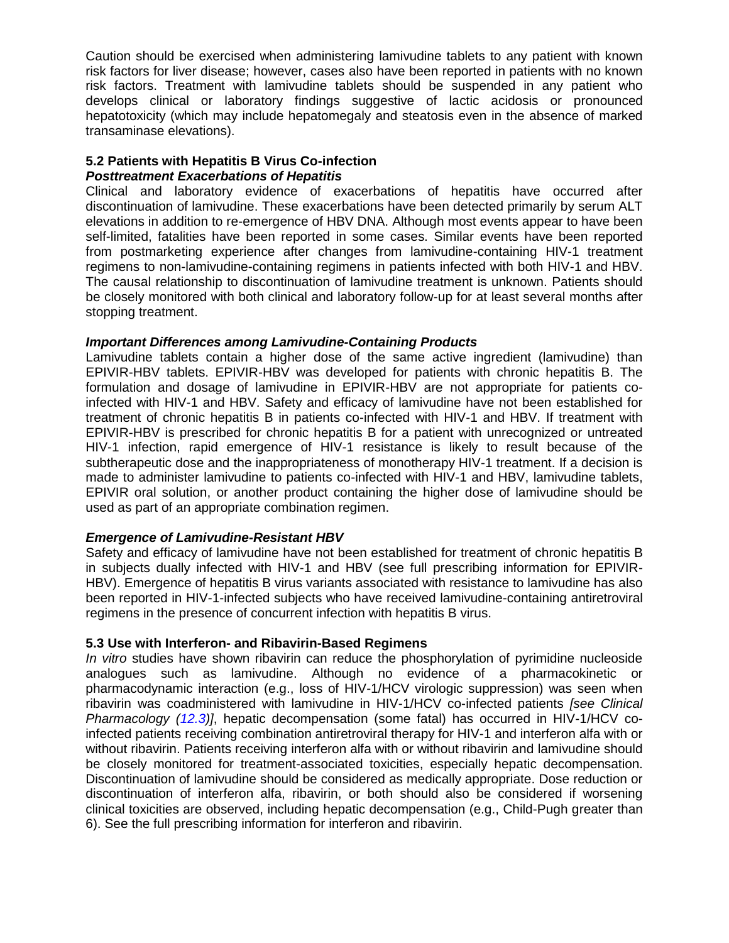Caution should be exercised when administering lamivudine tablets to any patient with known risk factors for liver disease; however, cases also have been reported in patients with no known risk factors. Treatment with lamivudine tablets should be suspended in any patient who develops clinical or laboratory findings suggestive of lactic acidosis or pronounced hepatotoxicity (which may include hepatomegaly and steatosis even in the absence of marked transaminase elevations).

## <span id="page-4-0"></span>**5.2 Patients with Hepatitis B Virus Co-infection**

### *Posttreatment Exacerbations of Hepatitis*

Clinical and laboratory evidence of exacerbations of hepatitis have occurred after discontinuation of lamivudine. These exacerbations have been detected primarily by serum ALT elevations in addition to re-emergence of HBV DNA. Although most events appear to have been self-limited, fatalities have been reported in some cases. Similar events have been reported from postmarketing experience after changes from lamivudine-containing HIV-1 treatment regimens to non-lamivudine-containing regimens in patients infected with both HIV-1 and HBV. The causal relationship to discontinuation of lamivudine treatment is unknown. Patients should be closely monitored with both clinical and laboratory follow-up for at least several months after stopping treatment.

### *Important Differences among Lamivudine-Containing Products*

Lamivudine tablets contain a higher dose of the same active ingredient (lamivudine) than EPIVIR-HBV tablets. EPIVIR-HBV was developed for patients with chronic hepatitis B. The formulation and dosage of lamivudine in EPIVIR-HBV are not appropriate for patients coinfected with HIV-1 and HBV. Safety and efficacy of lamivudine have not been established for treatment of chronic hepatitis B in patients co-infected with HIV-1 and HBV. If treatment with EPIVIR-HBV is prescribed for chronic hepatitis B for a patient with unrecognized or untreated HIV-1 infection, rapid emergence of HIV-1 resistance is likely to result because of the subtherapeutic dose and the inappropriateness of monotherapy HIV-1 treatment. If a decision is made to administer lamivudine to patients co-infected with HIV-1 and HBV, lamivudine tablets, EPIVIR oral solution, or another product containing the higher dose of lamivudine should be used as part of an appropriate combination regimen.

### *Emergence of Lamivudine-Resistant HBV*

Safety and efficacy of lamivudine have not been established for treatment of chronic hepatitis B in subjects dually infected with HIV-1 and HBV (see full prescribing information for EPIVIR-HBV). Emergence of hepatitis B virus variants associated with resistance to lamivudine has also been reported in HIV-1-infected subjects who have received lamivudine-containing antiretroviral regimens in the presence of concurrent infection with hepatitis B virus.

### <span id="page-4-1"></span>**5.3 Use with Interferon- and Ribavirin-Based Regimens**

*In vitro* studies have shown ribavirin can reduce the phosphorylation of pyrimidine nucleoside analogues such as lamivudine. Although no evidence of a pharmacokinetic or pharmacodynamic interaction (e.g., loss of HIV-1/HCV virologic suppression) was seen when ribavirin was coadministered with lamivudine in HIV-1/HCV co-infected patients *[see Clinical Pharmacology [\(12.3\)](#page-12-2)]*, hepatic decompensation (some fatal) has occurred in HIV-1/HCV coinfected patients receiving combination antiretroviral therapy for HIV-1 and interferon alfa with or without ribavirin. Patients receiving interferon alfa with or without ribavirin and lamivudine should be closely monitored for treatment-associated toxicities, especially hepatic decompensation. Discontinuation of lamivudine should be considered as medically appropriate. Dose reduction or discontinuation of interferon alfa, ribavirin, or both should also be considered if worsening clinical toxicities are observed, including hepatic decompensation (e.g., Child-Pugh greater than 6). See the full prescribing information for interferon and ribavirin.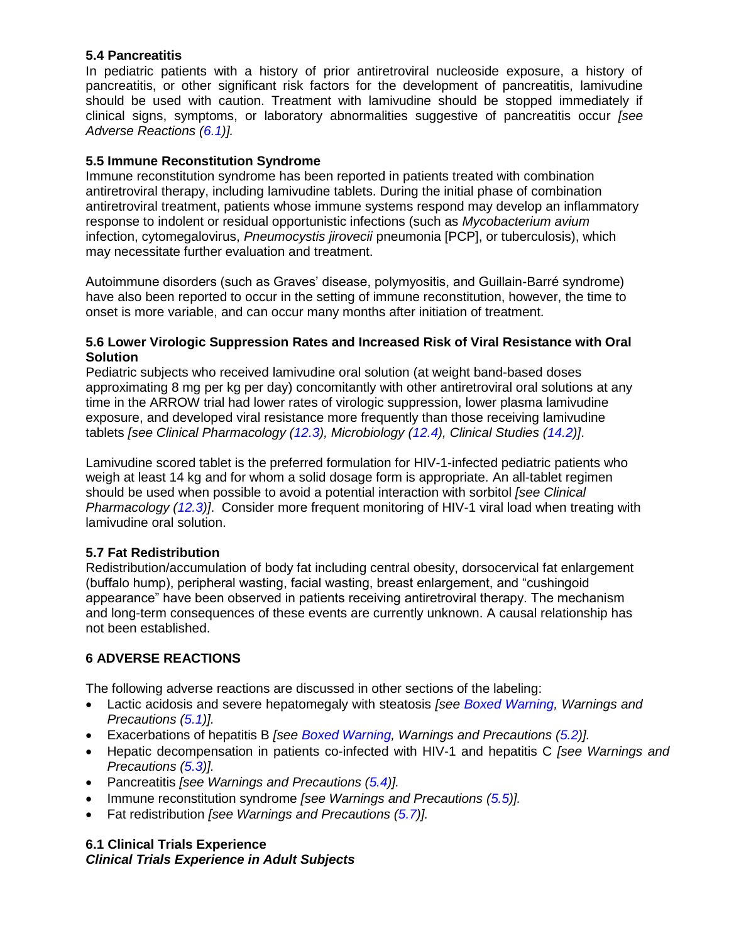### <span id="page-5-4"></span>**5.4 Pancreatitis**

In pediatric patients with a history of prior antiretroviral nucleoside exposure, a history of pancreatitis, or other significant risk factors for the development of pancreatitis, lamivudine should be used with caution. Treatment with lamivudine should be stopped immediately if clinical signs, symptoms, or laboratory abnormalities suggestive of pancreatitis occur *[see Adverse Reactions [\(6.1\)](#page-5-3)].*

## <span id="page-5-1"></span>**5.5 Immune Reconstitution Syndrome**

Immune reconstitution syndrome has been reported in patients treated with combination antiretroviral therapy, including lamivudine tablets. During the initial phase of combination antiretroviral treatment, patients whose immune systems respond may develop an inflammatory response to indolent or residual opportunistic infections (such as *Mycobacterium avium*  infection, cytomegalovirus, *Pneumocystis jirovecii* pneumonia [PCP], or tuberculosis), which may necessitate further evaluation and treatment.

Autoimmune disorders (such as Graves' disease, polymyositis, and Guillain-Barré syndrome) have also been reported to occur in the setting of immune reconstitution, however, the time to onset is more variable, and can occur many months after initiation of treatment.

### <span id="page-5-0"></span>**5.6 Lower Virologic Suppression Rates and Increased Risk of Viral Resistance with Oral Solution**

Pediatric subjects who received lamivudine oral solution (at weight band-based doses approximating 8 mg per kg per day) concomitantly with other antiretroviral oral solutions at any time in the ARROW trial had lower rates of virologic suppression, lower plasma lamivudine exposure, and developed viral resistance more frequently than those receiving lamivudine tablets *[see Clinical Pharmacology [\(12.3\)](#page-12-2), Microbiology [\(12.4\)](#page-16-0), Clinical Studies [\(14.2\)](#page-20-0)]*.

Lamivudine scored tablet is the preferred formulation for HIV-1-infected pediatric patients who weigh at least 14 kg and for whom a solid dosage form is appropriate. An all-tablet regimen should be used when possible to avoid a potential interaction with sorbitol *[see Clinical Pharmacology [\(12.3\)](#page-12-2)]*. Consider more frequent monitoring of HIV-1 viral load when treating with lamivudine oral solution.

### <span id="page-5-2"></span>**5.7 Fat Redistribution**

Redistribution/accumulation of body fat including central obesity, dorsocervical fat enlargement (buffalo hump), peripheral wasting, facial wasting, breast enlargement, and "cushingoid appearance" have been observed in patients receiving antiretroviral therapy. The mechanism and long-term consequences of these events are currently unknown. A causal relationship has not been established.

## <span id="page-5-5"></span>**6 ADVERSE REACTIONS**

The following adverse reactions are discussed in other sections of the labeling:

- Lactic acidosis and severe hepatomegaly with steatosis *[see [Boxed Warning,](#page-2-3) Warnings and Precautions [\(5.1\)](#page-3-0)].*
- Exacerbations of hepatitis B *[see [Boxed Warning,](#page-2-3) Warnings and Precautions [\(5.2\)](#page-4-0)].*
- Hepatic decompensation in patients co-infected with HIV-1 and hepatitis C *[see Warnings and Precautions [\(5.3\)](#page-4-1)].*
- Pancreatitis *[see Warnings and Precautions [\(5.4\)](#page-5-4)].*
- Immune reconstitution syndrome *[see Warnings and Precautions [\(5.5\)](#page-5-1)].*
- Fat redistribution *[see Warnings and Precautions [\(5.7\)](#page-5-2)].*

### <span id="page-5-3"></span>**6.1 Clinical Trials Experience** *Clinical Trials Experience in Adult Subjects*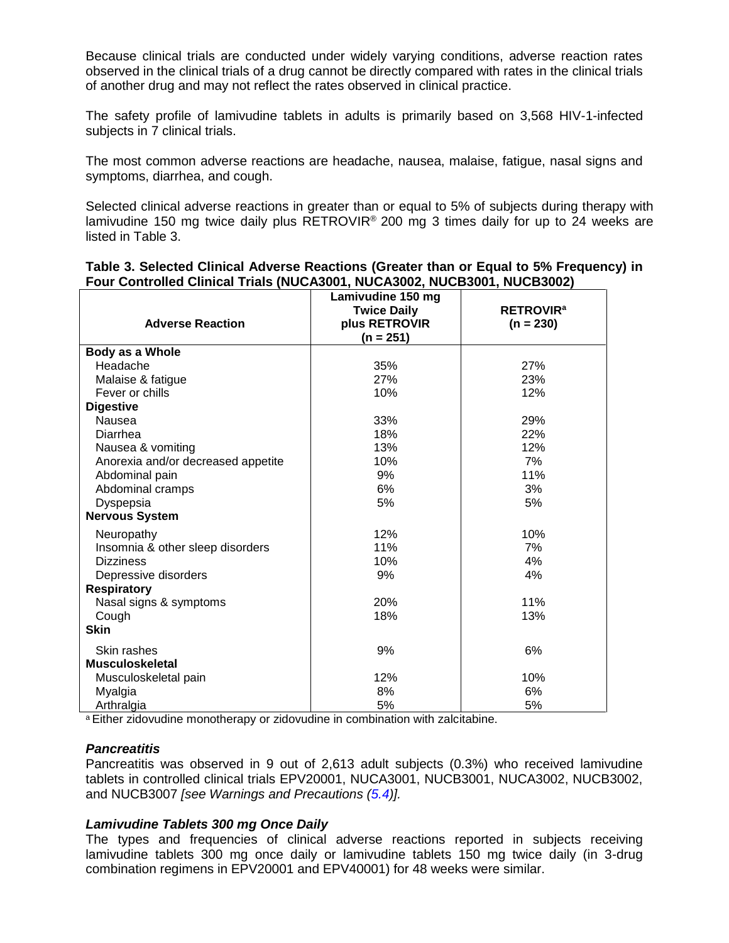Because clinical trials are conducted under widely varying conditions, adverse reaction rates observed in the clinical trials of a drug cannot be directly compared with rates in the clinical trials of another drug and may not reflect the rates observed in clinical practice.

The safety profile of lamivudine tablets in adults is primarily based on 3,568 HIV-1-infected subjects in 7 clinical trials.

The most common adverse reactions are headache, nausea, malaise, fatigue, nasal signs and symptoms, diarrhea, and cough.

Selected clinical adverse reactions in greater than or equal to 5% of subjects during therapy with lamivudine 150 mg twice daily plus RETROVIR® 200 mg 3 times daily for up to 24 weeks are listed in Table 3.

| Table 3. Selected Clinical Adverse Reactions (Greater than or Equal to 5% Frequency) in |  |  |
|-----------------------------------------------------------------------------------------|--|--|
| Four Controlled Clinical Trials (NUCA3001, NUCA3002, NUCB3001, NUCB3002)                |  |  |

| <b>Adverse Reaction</b>            | Lamivudine 150 mg<br><b>Twice Daily</b><br>plus RETROVIR | <b>RETROVIR<sup>a</sup></b><br>$(n = 230)$ |
|------------------------------------|----------------------------------------------------------|--------------------------------------------|
|                                    | $(n = 251)$                                              |                                            |
| Body as a Whole                    |                                                          |                                            |
| Headache                           | 35%                                                      | 27%                                        |
| Malaise & fatigue                  | 27%                                                      | 23%                                        |
| Fever or chills                    | 10%                                                      | 12%                                        |
| <b>Digestive</b>                   |                                                          |                                            |
| Nausea                             | 33%                                                      | 29%                                        |
| Diarrhea                           | 18%                                                      | 22%                                        |
| Nausea & vomiting                  | 13%                                                      | 12%                                        |
| Anorexia and/or decreased appetite | 10%                                                      | 7%                                         |
| Abdominal pain                     | 9%                                                       | 11%                                        |
| Abdominal cramps                   | 6%                                                       | 3%                                         |
| Dyspepsia                          | 5%                                                       | 5%                                         |
| <b>Nervous System</b>              |                                                          |                                            |
| Neuropathy                         | 12%                                                      | 10%                                        |
| Insomnia & other sleep disorders   | 11%                                                      | 7%                                         |
| <b>Dizziness</b>                   | 10%                                                      | 4%                                         |
| Depressive disorders               | 9%                                                       | 4%                                         |
| <b>Respiratory</b>                 |                                                          |                                            |
| Nasal signs & symptoms             | 20%                                                      | 11%                                        |
| Cough                              | 18%                                                      | 13%                                        |
| <b>Skin</b>                        |                                                          |                                            |
| Skin rashes                        | 9%                                                       | 6%                                         |
| <b>Musculoskeletal</b>             |                                                          |                                            |
| Musculoskeletal pain               | 12%                                                      | 10%                                        |
| Myalgia                            | 8%                                                       | 6%                                         |
| Arthralgia                         | 5%                                                       | 5%                                         |

a Either zidovudine monotherapy or zidovudine in combination with zalcitabine.

#### *Pancreatitis*

Pancreatitis was observed in 9 out of 2,613 adult subjects (0.3%) who received lamivudine tablets in controlled clinical trials EPV20001, NUCA3001, NUCB3001, NUCA3002, NUCB3002, and NUCB3007 *[see Warnings and Precautions [\(5.4\)](#page-5-4)].* 

#### *Lamivudine Tablets 300 mg Once Daily*

The types and frequencies of clinical adverse reactions reported in subjects receiving lamivudine tablets 300 mg once daily or lamivudine tablets 150 mg twice daily (in 3-drug combination regimens in EPV20001 and EPV40001) for 48 weeks were similar.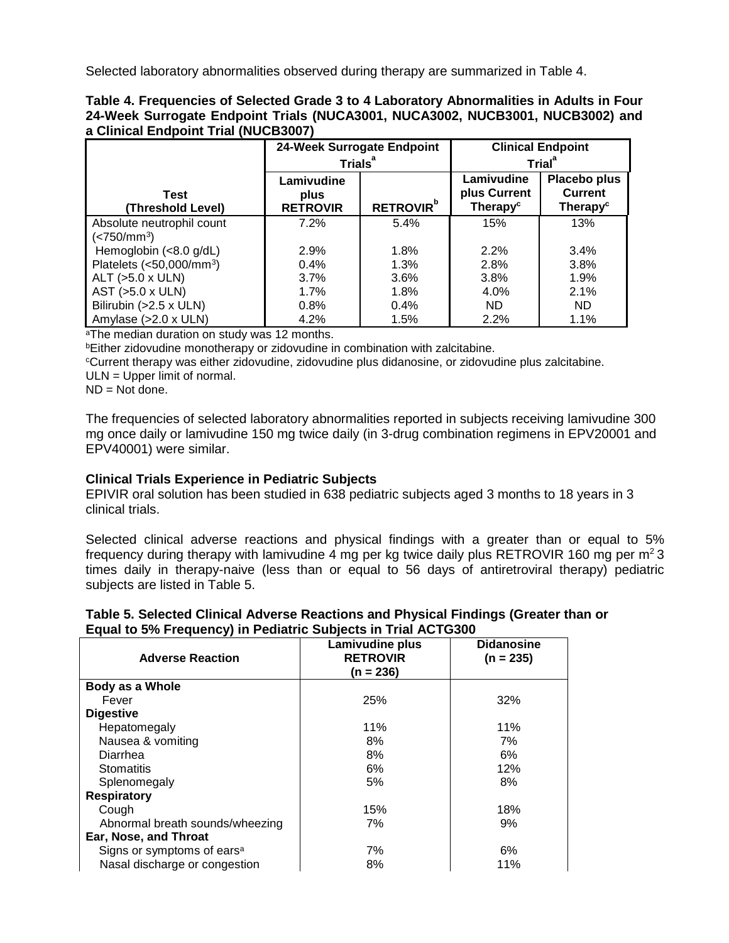Selected laboratory abnormalities observed during therapy are summarized in Table 4.

|                                      | Table 4. Frequencies of Selected Grade 3 to 4 Laboratory Abnormalities in Adults in Four |
|--------------------------------------|------------------------------------------------------------------------------------------|
|                                      | 24-Week Surrogate Endpoint Trials (NUCA3001, NUCA3002, NUCB3001, NUCB3002) and           |
| a Clinical Endpoint Trial (NUCB3007) |                                                                                          |

|                               | 24-Week Surrogate Endpoint |                 | <b>Clinical Endpoint</b>   |                                |
|-------------------------------|----------------------------|-----------------|----------------------------|--------------------------------|
|                               | Trials <sup>ª</sup>        |                 |                            | Trial <sup>a</sup>             |
| <b>Test</b>                   | Lamivudine<br>plus         |                 | Lamivudine<br>plus Current | Placebo plus<br><b>Current</b> |
| (Threshold Level)             | <b>RETROVIR</b>            | <b>RETROVIR</b> | Therapy <sup>c</sup>       | Therapy <sup>c</sup>           |
| Absolute neutrophil count     | 7.2%                       | 5.4%            | 15%                        | 13%                            |
| ( <b>750/mm<sup>3</sup></b> ) |                            |                 |                            |                                |
| Hemoglobin (<8.0 g/dL)        | 2.9%                       | 1.8%            | 2.2%                       | $3.4\%$                        |
| Platelets $(<50,000/mm^3)$    | $0.4\%$                    | 1.3%            | 2.8%                       | 3.8%                           |
| ALT $(>5.0 x$ ULN)            | 3.7%                       | $3.6\%$         | 3.8%                       | $1.9\%$                        |
| AST $(>5.0 \times ULN)$       | 1.7%                       | 1.8%            | $4.0\%$                    | 2.1%                           |
| Bilirubin (>2.5 x ULN)        | 0.8%                       | 0.4%            | <b>ND</b>                  | ND.                            |
| Amylase $(>2.0 \times ULN)$   | 4.2%                       | 1.5%            | 2.2%                       | $1.1\%$                        |

aThe median duration on study was 12 months.

**bEither zidovudine monotherapy or zidovudine in combination with zalcitabine.** 

<sup>c</sup>Current therapy was either zidovudine, zidovudine plus didanosine, or zidovudine plus zalcitabine.

ULN = Upper limit of normal.

ND = Not done.

The frequencies of selected laboratory abnormalities reported in subjects receiving lamivudine 300 mg once daily or lamivudine 150 mg twice daily (in 3-drug combination regimens in EPV20001 and EPV40001) were similar.

### **Clinical Trials Experience in Pediatric Subjects**

EPIVIR oral solution has been studied in 638 pediatric subjects aged 3 months to 18 years in 3 clinical trials.

Selected clinical adverse reactions and physical findings with a greater than or equal to 5% frequency during therapy with lamivudine 4 mg per kg twice daily plus RETROVIR 160 mg per  $m^2$  3 times daily in therapy-naive (less than or equal to 56 days of antiretroviral therapy) pediatric subjects are listed in Table 5.

| Table 5. Selected Clinical Adverse Reactions and Physical Findings (Greater than or |
|-------------------------------------------------------------------------------------|
| Equal to 5% Frequency) in Pediatric Subjects in Trial ACTG300                       |

| <b>Adverse Reaction</b>                | Lamivudine plus<br><b>RETROVIR</b><br>(n = 236) | <b>Didanosine</b><br>$(n = 235)$ |
|----------------------------------------|-------------------------------------------------|----------------------------------|
| Body as a Whole                        |                                                 |                                  |
| Fever                                  | 25%                                             | 32%                              |
| <b>Digestive</b>                       |                                                 |                                  |
| Hepatomegaly                           | 11%                                             | 11%                              |
| Nausea & vomiting                      | 8%                                              | 7%                               |
| Diarrhea                               | 8%                                              | 6%                               |
| <b>Stomatitis</b>                      | 6%                                              | 12%                              |
| Splenomegaly                           | 5%                                              | 8%                               |
| <b>Respiratory</b>                     |                                                 |                                  |
| Cough                                  | 15%                                             | 18%                              |
| Abnormal breath sounds/wheezing        | 7%                                              | 9%                               |
| Ear, Nose, and Throat                  |                                                 |                                  |
| Signs or symptoms of ears <sup>a</sup> | 7%                                              | 6%                               |
| Nasal discharge or congestion          | 8%                                              | 11%                              |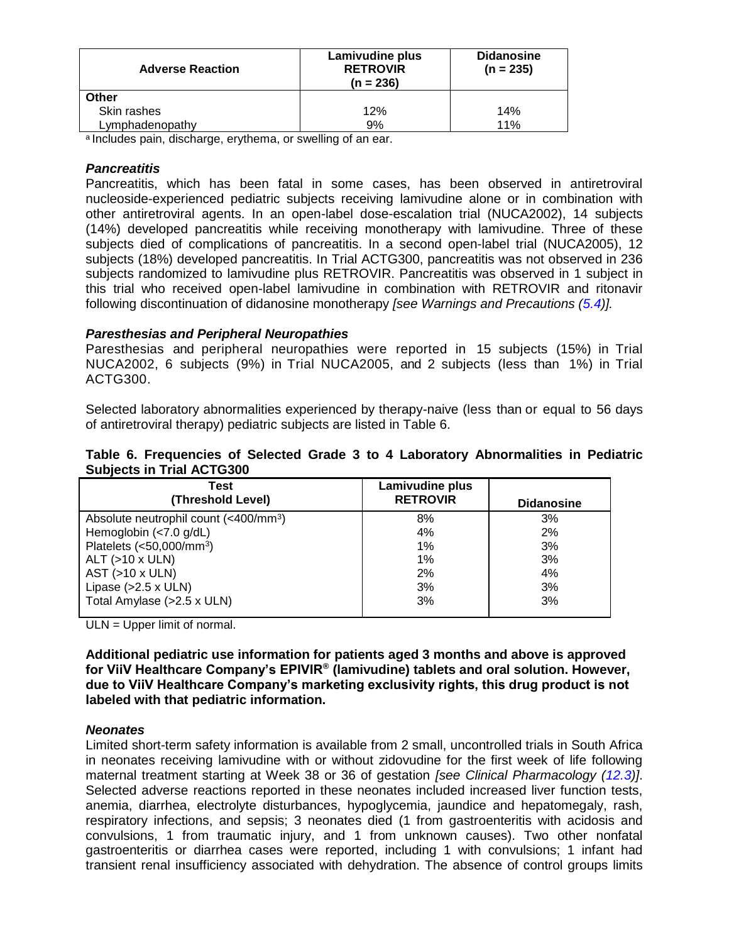| <b>Adverse Reaction</b> | <b>Lamivudine plus</b><br><b>RETROVIR</b><br>$(n = 236)$ | <b>Didanosine</b><br>$(n = 235)$ |
|-------------------------|----------------------------------------------------------|----------------------------------|
| Other                   |                                                          |                                  |
| Skin rashes             | 12%                                                      | 14%                              |
| Lymphadenopathy         | 9%                                                       | 11%                              |

a Includes pain, discharge, erythema, or swelling of an ear.

#### *Pancreatitis*

Pancreatitis, which has been fatal in some cases, has been observed in antiretroviral nucleoside-experienced pediatric subjects receiving lamivudine alone or in combination with other antiretroviral agents. In an open-label dose-escalation trial (NUCA2002), 14 subjects (14%) developed pancreatitis while receiving monotherapy with lamivudine. Three of these subjects died of complications of pancreatitis. In a second open-label trial (NUCA2005), 12 subjects (18%) developed pancreatitis. In Trial ACTG300, pancreatitis was not observed in 236 subjects randomized to lamivudine plus RETROVIR. Pancreatitis was observed in 1 subject in this trial who received open-label lamivudine in combination with RETROVIR and ritonavir following discontinuation of didanosine monotherapy *[see Warnings and Precautions [\(5.4\)](#page-5-4)].*

### *Paresthesias and Peripheral Neuropathies*

Paresthesias and peripheral neuropathies were reported in 15 subjects (15%) in Trial NUCA2002, 6 subjects (9%) in Trial NUCA2005, and 2 subjects (less than 1%) in Trial ACTG300.

Selected laboratory abnormalities experienced by therapy-naive (less than or equal to 56 days of antiretroviral therapy) pediatric subjects are listed in Table 6.

#### **Table 6. Frequencies of Selected Grade 3 to 4 Laboratory Abnormalities in Pediatric Subjects in Trial ACTG300**

| Test                                                      | Lamivudine plus |                   |
|-----------------------------------------------------------|-----------------|-------------------|
| (Threshold Level)                                         | <b>RETROVIR</b> | <b>Didanosine</b> |
| Absolute neutrophil count (<400/mm <sup>3</sup> )         | 8%              | 3%                |
| Hemoglobin $\left\langle \langle 7.0 \right\rangle$ g/dL) | 4%              | 2%                |
| Platelets $(<50,000/\text{mm}^3)$                         | 1%              | 3%                |
| $ALT$ ( $>10$ x ULN)                                      | 1%              | 3%                |
| $AST$ ( $>10$ x ULN)                                      | 2%              | 4%                |
| Lipase $(>2.5 x$ ULN)                                     | 3%              | 3%                |
| Total Amylase (>2.5 x ULN)                                | 3%              | 3%                |

ULN = Upper limit of normal.

**Additional pediatric use information for patients aged 3 months and above is approved for ViiV Healthcare Company's EPIVIR® (lamivudine) tablets and oral solution. However, due to ViiV Healthcare Company's marketing exclusivity rights, this drug product is not labeled with that pediatric information.**

#### *Neonates*

Limited short-term safety information is available from 2 small, uncontrolled trials in South Africa in neonates receiving lamivudine with or without zidovudine for the first week of life following maternal treatment starting at Week 38 or 36 of gestation *[see Clinical Pharmacology [\(12.3\)](#page-12-2)]*. Selected adverse reactions reported in these neonates included increased liver function tests, anemia, diarrhea, electrolyte disturbances, hypoglycemia, jaundice and hepatomegaly, rash, respiratory infections, and sepsis; 3 neonates died (1 from gastroenteritis with acidosis and convulsions, 1 from traumatic injury, and 1 from unknown causes). Two other nonfatal gastroenteritis or diarrhea cases were reported, including 1 with convulsions; 1 infant had transient renal insufficiency associated with dehydration. The absence of control groups limits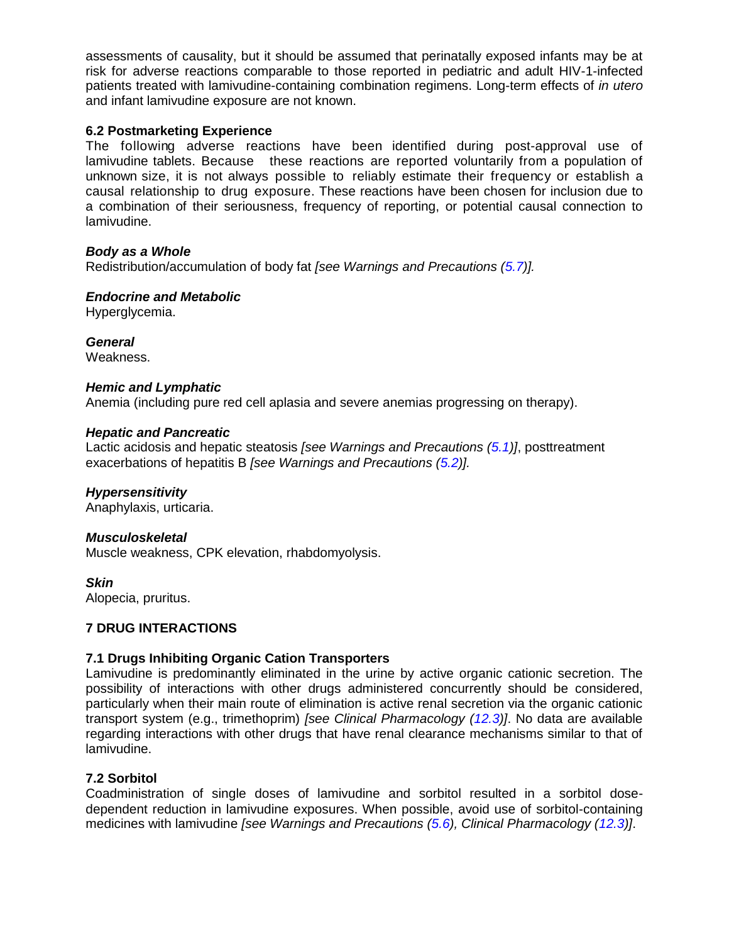assessments of causality, but it should be assumed that perinatally exposed infants may be at risk for adverse reactions comparable to those reported in pediatric and adult HIV-1-infected patients treated with lamivudine-containing combination regimens. Long-term effects of *in utero* and infant lamivudine exposure are not known.

### <span id="page-9-1"></span>**6.2 Postmarketing Experience**

The following adverse reactions have been identified during post-approval use of lamivudine tablets. Because these reactions are reported voluntarily from a population of unknown size, it is not always possible to reliably estimate their frequency or establish a causal relationship to drug exposure. These reactions have been chosen for inclusion due to a combination of their seriousness, frequency of reporting, or potential causal connection to lamivudine.

#### *Body as a Whole*

Redistribution/accumulation of body fat *[see Warnings and Precautions [\(5.7\)](#page-5-2)].* 

### *Endocrine and Metabolic*

Hyperglycemia.

*General*

Weakness.

#### *Hemic and Lymphatic*

Anemia (including pure red cell aplasia and severe anemias progressing on therapy).

#### *Hepatic and Pancreatic*

Lactic acidosis and hepatic steatosis *[see Warnings and Precautions [\(5.1\)](#page-3-0)]*, posttreatment exacerbations of hepatitis B *[see Warnings and Precautions [\(5.2\)](#page-4-0)].*

#### *Hypersensitivity*

Anaphylaxis, urticaria.

#### *Musculoskeletal*

Muscle weakness, CPK elevation, rhabdomyolysis.

*Skin* Alopecia, pruritus.

#### <span id="page-9-2"></span>**7 DRUG INTERACTIONS**

### <span id="page-9-3"></span>**7.1 Drugs Inhibiting Organic Cation Transporters**

Lamivudine is predominantly eliminated in the urine by active organic cationic secretion. The possibility of interactions with other drugs administered concurrently should be considered, particularly when their main route of elimination is active renal secretion via the organic cationic transport system (e.g., trimethoprim) *[see Clinical Pharmacology [\(12.3\)](#page-12-2)]*. No data are available regarding interactions with other drugs that have renal clearance mechanisms similar to that of lamivudine.

#### <span id="page-9-0"></span>**7.2 Sorbitol**

Coadministration of single doses of lamivudine and sorbitol resulted in a sorbitol dosedependent reduction in lamivudine exposures. When possible, avoid use of sorbitol-containing medicines with lamivudine *[see Warnings and Precautions [\(5.6\)](#page-5-0), Clinical Pharmacology [\(12.3\)](#page-12-2)]*.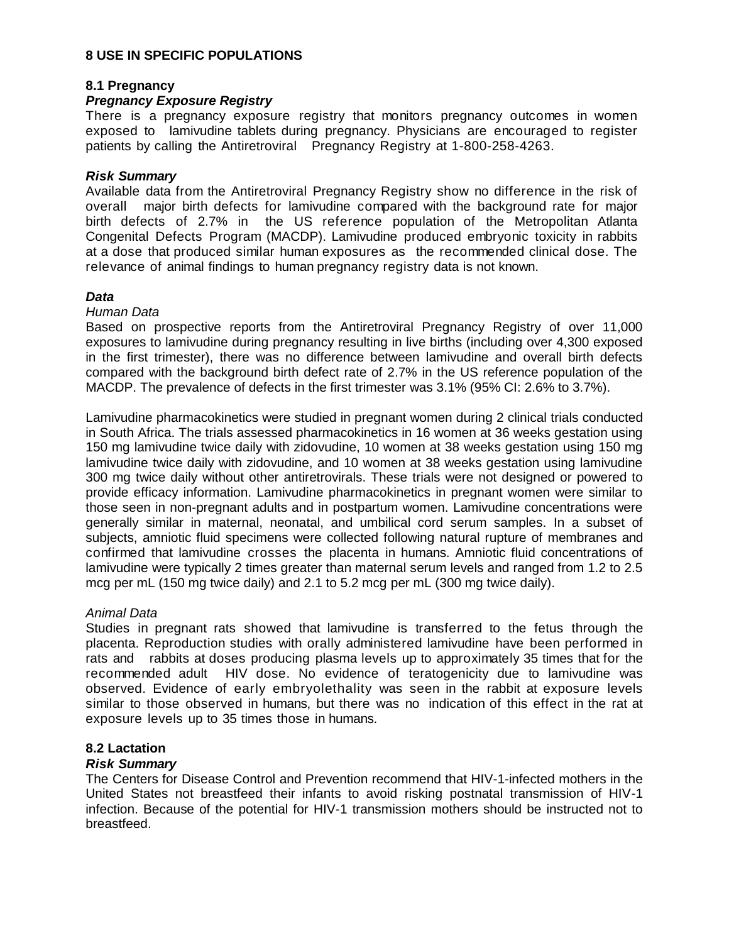#### <span id="page-10-1"></span>**8 USE IN SPECIFIC POPULATIONS**

### <span id="page-10-2"></span>**8.1 Pregnancy**

## *Pregnancy Exposure Registry*

There is a pregnancy exposure registry that monitors pregnancy outcomes in women exposed to lamivudine tablets during pregnancy. Physicians are encouraged to register patients by calling the Antiretroviral Pregnancy Registry at 1-800-258-4263.

#### *Risk Summary*

Available data from the Antiretroviral Pregnancy Registry show no difference in the risk of overall major birth defects for lamivudine compared with the background rate for major birth defects of 2.7% in the US reference population of the Metropolitan Atlanta Congenital Defects Program (MACDP). Lamivudine produced embryonic toxicity in rabbits at a dose that produced similar human exposures as the recommended clinical dose. The relevance of animal findings to human pregnancy registry data is not known.

### *Data*

#### *Human Data*

Based on prospective reports from the Antiretroviral Pregnancy Registry of over 11,000 exposures to lamivudine during pregnancy resulting in live births (including over 4,300 exposed in the first trimester), there was no difference between lamivudine and overall birth defects compared with the background birth defect rate of 2.7% in the US reference population of the MACDP. The prevalence of defects in the first trimester was 3.1% (95% CI: 2.6% to 3.7%).

Lamivudine pharmacokinetics were studied in pregnant women during 2 clinical trials conducted in South Africa. The trials assessed pharmacokinetics in 16 women at 36 weeks gestation using 150 mg lamivudine twice daily with zidovudine, 10 women at 38 weeks gestation using 150 mg lamivudine twice daily with zidovudine, and 10 women at 38 weeks gestation using lamivudine 300 mg twice daily without other antiretrovirals. These trials were not designed or powered to provide efficacy information. Lamivudine pharmacokinetics in pregnant women were similar to those seen in non-pregnant adults and in postpartum women. Lamivudine concentrations were generally similar in maternal, neonatal, and umbilical cord serum samples. In a subset of subjects, amniotic fluid specimens were collected following natural rupture of membranes and confirmed that lamivudine crosses the placenta in humans. Amniotic fluid concentrations of lamivudine were typically 2 times greater than maternal serum levels and ranged from 1.2 to 2.5 mcg per mL (150 mg twice daily) and 2.1 to 5.2 mcg per mL (300 mg twice daily).

#### *Animal Data*

Studies in pregnant rats showed that lamivudine is transferred to the fetus through the placenta. Reproduction studies with orally administered lamivudine have been performed in rats and rabbits at doses producing plasma levels up to approximately 35 times that for the recommended adult HIV dose. No evidence of teratogenicity due to lamivudine was observed. Evidence of early embryolethality was seen in the rabbit at exposure levels similar to those observed in humans, but there was no indication of this effect in the rat at exposure levels up to 35 times those in humans.

### <span id="page-10-0"></span>**8.2 Lactation**

#### *Risk Summary*

The Centers for Disease Control and Prevention recommend that HIV-1-infected mothers in the United States not breastfeed their infants to avoid risking postnatal transmission of HIV-1 infection. Because of the potential for HIV-1 transmission mothers should be instructed not to breastfeed.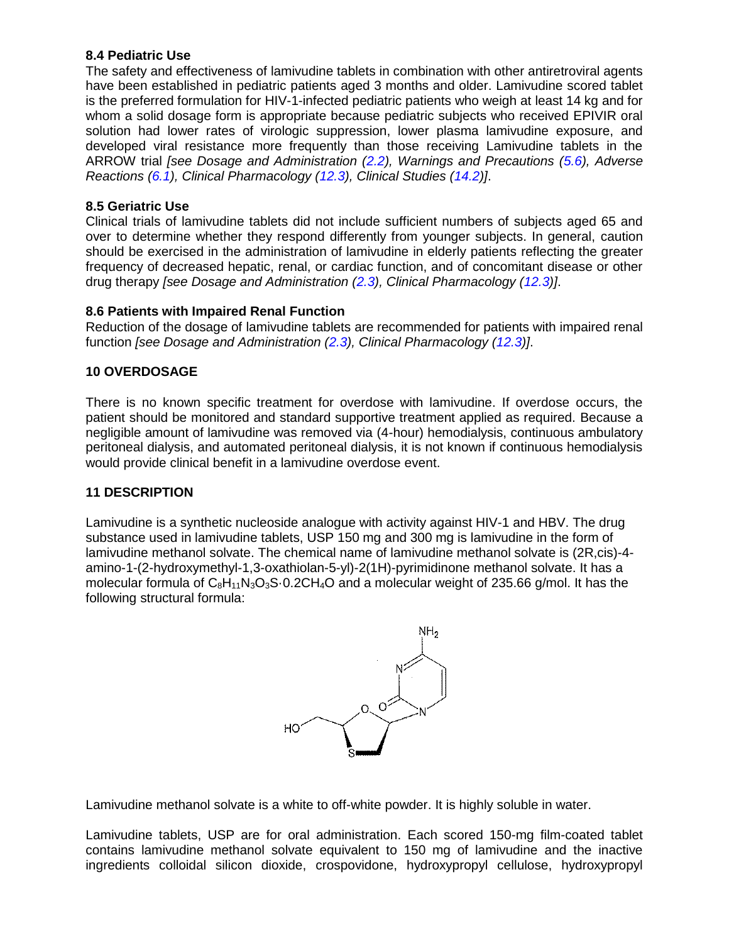### <span id="page-11-0"></span>**8.4 Pediatric Use**

The safety and effectiveness of lamivudine tablets in combination with other antiretroviral agents have been established in pediatric patients aged 3 months and older. Lamivudine scored tablet is the preferred formulation for HIV-1-infected pediatric patients who weigh at least 14 kg and for whom a solid dosage form is appropriate because pediatric subjects who received EPIVIR oral solution had lower rates of virologic suppression, lower plasma lamivudine exposure, and developed viral resistance more frequently than those receiving Lamivudine tablets in the ARROW trial *[see Dosage and Administration [\(2.2\)](#page-2-0), Warnings and Precautions [\(5.6\)](#page-5-0), Adverse Reactions [\(6.1\)](#page-5-3), Clinical Pharmacology [\(12.3\)](#page-12-2), Clinical Studies [\(14.2\)](#page-20-0)]*.

## <span id="page-11-1"></span>**8.5 Geriatric Use**

Clinical trials of lamivudine tablets did not include sufficient numbers of subjects aged 65 and over to determine whether they respond differently from younger subjects. In general, caution should be exercised in the administration of lamivudine in elderly patients reflecting the greater frequency of decreased hepatic, renal, or cardiac function, and of concomitant disease or other drug therapy *[see Dosage and Administration [\(2.3\)](#page-3-1), Clinical Pharmacology [\(12.3\)](#page-12-2)]*.

## <span id="page-11-2"></span>**8.6 Patients with Impaired Renal Function**

Reduction of the dosage of lamivudine tablets are recommended for patients with impaired renal function *[see Dosage and Administration [\(2.3\)](#page-3-1), Clinical Pharmacology [\(12.3\)](#page-12-2)]*.

## <span id="page-11-3"></span>**10 OVERDOSAGE**

There is no known specific treatment for overdose with lamivudine. If overdose occurs, the patient should be monitored and standard supportive treatment applied as required. Because a negligible amount of lamivudine was removed via (4-hour) hemodialysis, continuous ambulatory peritoneal dialysis, and automated peritoneal dialysis, it is not known if continuous hemodialysis would provide clinical benefit in a lamivudine overdose event.

### <span id="page-11-4"></span>**11 DESCRIPTION**

Lamivudine is a synthetic nucleoside analogue with activity against HIV-1 and HBV. The drug substance used in lamivudine tablets, USP 150 mg and 300 mg is lamivudine in the form of lamivudine methanol solvate. The chemical name of lamivudine methanol solvate is (2R,cis)-4 amino-1-(2-hydroxymethyl-1,3-oxathiolan-5-yl)-2(1H)-pyrimidinone methanol solvate. It has a molecular formula of  $C_8H_{11}N_3O_3S \cdot 0.2CH_4O$  and a molecular weight of 235.66 g/mol. It has the following structural formula:



Lamivudine methanol solvate is a white to off-white powder. It is highly soluble in water.

Lamivudine tablets, USP are for oral administration. Each scored 150-mg film-coated tablet contains lamivudine methanol solvate equivalent to 150 mg of lamivudine and the inactive ingredients colloidal silicon dioxide, crospovidone, hydroxypropyl cellulose, hydroxypropyl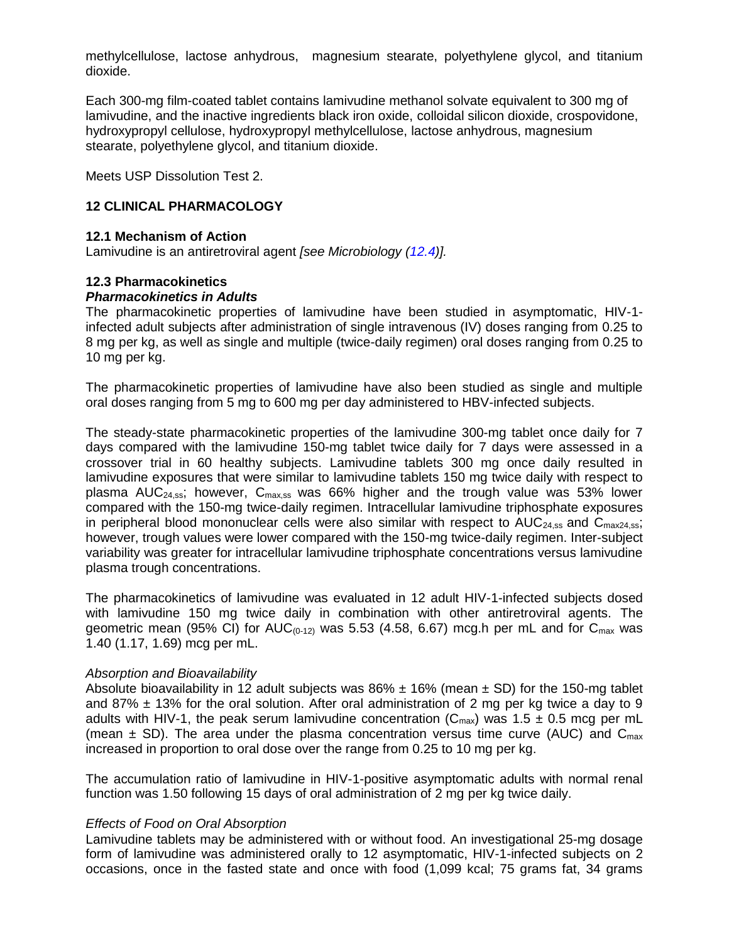methylcellulose, lactose anhydrous, magnesium stearate, polyethylene glycol, and titanium dioxide.

Each 300-mg film-coated tablet contains lamivudine methanol solvate equivalent to 300 mg of lamivudine, and the inactive ingredients black iron oxide, colloidal silicon dioxide, crospovidone, hydroxypropyl cellulose, hydroxypropyl methylcellulose, lactose anhydrous, magnesium stearate, polyethylene glycol, and titanium dioxide.

Meets USP Dissolution Test 2.

### <span id="page-12-0"></span>**12 CLINICAL PHARMACOLOGY**

#### <span id="page-12-1"></span>**12.1 Mechanism of Action**

Lamivudine is an antiretroviral agent *[see Microbiology [\(12.4\)](#page-16-0)].* 

#### <span id="page-12-2"></span>**12.3 Pharmacokinetics**  *Pharmacokinetics in Adults*

The pharmacokinetic properties of lamivudine have been studied in asymptomatic, HIV-1 infected adult subjects after administration of single intravenous (IV) doses ranging from 0.25 to 8 mg per kg, as well as single and multiple (twice-daily regimen) oral doses ranging from 0.25 to 10 mg per kg.

The pharmacokinetic properties of lamivudine have also been studied as single and multiple oral doses ranging from 5 mg to 600 mg per day administered to HBV-infected subjects.

The steady-state pharmacokinetic properties of the lamivudine 300-mg tablet once daily for 7 days compared with the lamivudine 150-mg tablet twice daily for 7 days were assessed in a crossover trial in 60 healthy subjects. Lamivudine tablets 300 mg once daily resulted in lamivudine exposures that were similar to lamivudine tablets 150 mg twice daily with respect to plasma AUC<sub>24,55</sub>; however, C<sub>max,55</sub> was 66% higher and the trough value was 53% lower compared with the 150-mg twice-daily regimen. Intracellular lamivudine triphosphate exposures in peripheral blood mononuclear cells were also similar with respect to  $AUC_{24,ss}$  and  $C_{max24,ss}$ ; however, trough values were lower compared with the 150-mg twice-daily regimen. Inter-subject variability was greater for intracellular lamivudine triphosphate concentrations versus lamivudine plasma trough concentrations.

The pharmacokinetics of lamivudine was evaluated in 12 adult HIV-1-infected subjects dosed with lamivudine 150 mg twice daily in combination with other antiretroviral agents. The geometric mean (95% CI) for  $AUC_{(0-12)}$  was 5.53 (4.58, 6.67) mcg.h per mL and for  $C_{\text{max}}$  was 1.40 (1.17, 1.69) mcg per mL.

#### *Absorption and Bioavailability*

Absolute bioavailability in 12 adult subjects was  $86\% \pm 16\%$  (mean  $\pm$  SD) for the 150-mg tablet and 87%  $\pm$  13% for the oral solution. After oral administration of 2 mg per kg twice a day to 9 adults with HIV-1, the peak serum lamivudine concentration ( $C_{\text{max}}$ ) was 1.5  $\pm$  0.5 mcg per mL (mean  $\pm$  SD). The area under the plasma concentration versus time curve (AUC) and C<sub>max</sub> increased in proportion to oral dose over the range from 0.25 to 10 mg per kg.

The accumulation ratio of lamivudine in HIV-1-positive asymptomatic adults with normal renal function was 1.50 following 15 days of oral administration of 2 mg per kg twice daily.

#### *Effects of Food on Oral Absorption*

Lamivudine tablets may be administered with or without food. An investigational 25-mg dosage form of lamivudine was administered orally to 12 asymptomatic, HIV-1-infected subjects on 2 occasions, once in the fasted state and once with food (1,099 kcal; 75 grams fat, 34 grams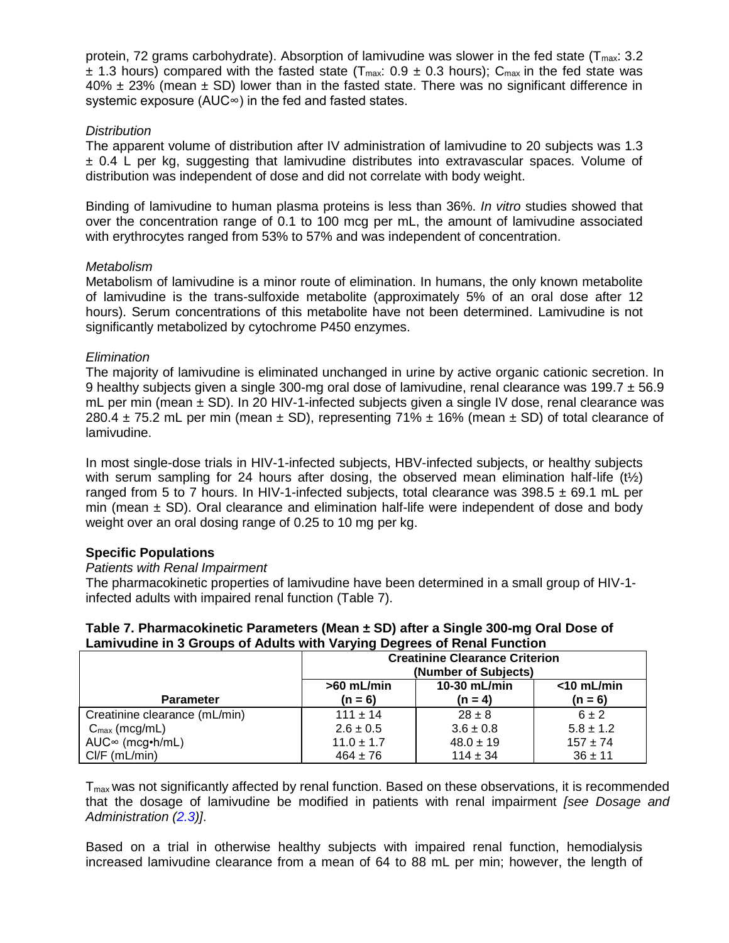protein, 72 grams carbohydrate). Absorption of lamivudine was slower in the fed state ( $T_{max}: 3.2$  $\pm$  1.3 hours) compared with the fasted state (T<sub>max</sub>: 0.9  $\pm$  0.3 hours); C<sub>max</sub> in the fed state was  $40\% \pm 23\%$  (mean  $\pm$  SD) lower than in the fasted state. There was no significant difference in systemic exposure (AUC∞) in the fed and fasted states.

### *Distribution*

The apparent volume of distribution after IV administration of lamivudine to 20 subjects was 1.3  $\pm$  0.4 L per kg, suggesting that lamivudine distributes into extravascular spaces. Volume of distribution was independent of dose and did not correlate with body weight.

Binding of lamivudine to human plasma proteins is less than 36%. *In vitro* studies showed that over the concentration range of 0.1 to 100 mcg per mL, the amount of lamivudine associated with erythrocytes ranged from 53% to 57% and was independent of concentration.

### *Metabolism*

Metabolism of lamivudine is a minor route of elimination. In humans, the only known metabolite of lamivudine is the trans-sulfoxide metabolite (approximately 5% of an oral dose after 12 hours). Serum concentrations of this metabolite have not been determined. Lamivudine is not significantly metabolized by cytochrome P450 enzymes.

## *Elimination*

The majority of lamivudine is eliminated unchanged in urine by active organic cationic secretion. In 9 healthy subjects given a single 300-mg oral dose of lamivudine, renal clearance was 199.7  $\pm$  56.9 mL per min (mean  $\pm$  SD). In 20 HIV-1-infected subjects given a single IV dose, renal clearance was 280.4  $\pm$  75.2 mL per min (mean  $\pm$  SD), representing 71%  $\pm$  16% (mean  $\pm$  SD) of total clearance of lamivudine.

In most single-dose trials in HIV-1-infected subjects, HBV-infected subjects, or healthy subjects with serum sampling for 24 hours after dosing, the observed mean elimination half-life  $(t\frac{1}{2})$ ranged from 5 to 7 hours. In HIV-1-infected subjects, total clearance was  $398.5 \pm 69.1$  mL per min (mean  $\pm$  SD). Oral clearance and elimination half-life were independent of dose and body weight over an oral dosing range of 0.25 to 10 mg per kg.

## **Specific Populations**

### *Patients with Renal Impairment*

The pharmacokinetic properties of lamivudine have been determined in a small group of HIV-1 infected adults with impaired renal function (Table 7).

| Table 7. Pharmacokinetic Parameters (Mean ± SD) after a Single 300-mg Oral Dose of |  |
|------------------------------------------------------------------------------------|--|
| Lamivudine in 3 Groups of Adults with Varying Degrees of Renal Function            |  |

|                               | <b>Creatinine Clearance Criterion</b><br>(Number of Subjects) |                           |                            |
|-------------------------------|---------------------------------------------------------------|---------------------------|----------------------------|
| <b>Parameter</b>              | $>60$ mL/min<br>$(n = 6)$                                     | 10-30 mL/min<br>$(n = 4)$ | $<$ 10 mL/min<br>$(n = 6)$ |
| Creatinine clearance (mL/min) | $111 \pm 14$                                                  | $28 \pm 8$                | $6 \pm 2$                  |
| $C_{\text{max}}$ (mcg/mL)     | $2.6 \pm 0.5$                                                 | $3.6 \pm 0.8$             | $5.8 \pm 1.2$              |
| $AUC^{\infty}$ (mcg•h/mL)     | $11.0 \pm 1.7$                                                | $48.0 \pm 19$             | $157 \pm 74$               |
| $Cl/F$ (mL/min)               | $464 \pm 76$                                                  | $114 \pm 34$              | $36 \pm 11$                |

 $T<sub>max</sub>$  was not significantly affected by renal function. Based on these observations, it is recommended that the dosage of lamivudine be modified in patients with renal impairment *[see Dosage and Administration [\(2.3\)](#page-3-1)]*.

Based on a trial in otherwise healthy subjects with impaired renal function, hemodialysis increased lamivudine clearance from a mean of 64 to 88 mL per min; however, the length of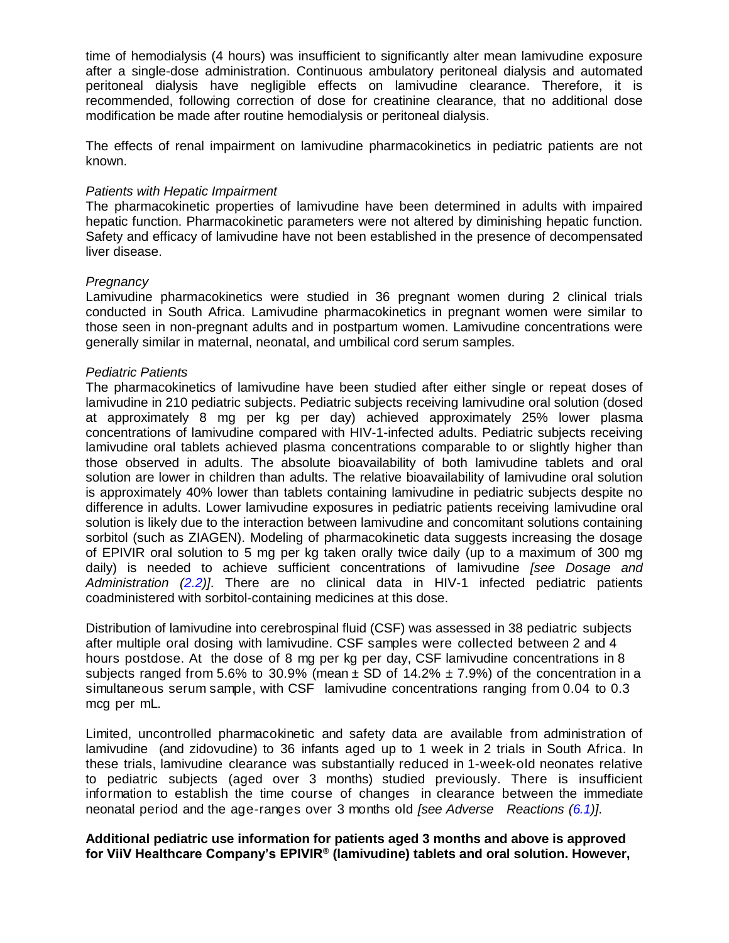time of hemodialysis (4 hours) was insufficient to significantly alter mean lamivudine exposure after a single-dose administration. Continuous ambulatory peritoneal dialysis and automated peritoneal dialysis have negligible effects on lamivudine clearance. Therefore, it is recommended, following correction of dose for creatinine clearance, that no additional dose modification be made after routine hemodialysis or peritoneal dialysis.

The effects of renal impairment on lamivudine pharmacokinetics in pediatric patients are not known.

#### *Patients with Hepatic Impairment*

The pharmacokinetic properties of lamivudine have been determined in adults with impaired hepatic function. Pharmacokinetic parameters were not altered by diminishing hepatic function. Safety and efficacy of lamivudine have not been established in the presence of decompensated liver disease.

#### *Pregnancy*

Lamivudine pharmacokinetics were studied in 36 pregnant women during 2 clinical trials conducted in South Africa. Lamivudine pharmacokinetics in pregnant women were similar to those seen in non-pregnant adults and in postpartum women. Lamivudine concentrations were generally similar in maternal, neonatal, and umbilical cord serum samples.

#### *Pediatric Patients*

The pharmacokinetics of lamivudine have been studied after either single or repeat doses of lamivudine in 210 pediatric subjects. Pediatric subjects receiving lamivudine oral solution (dosed at approximately 8 mg per kg per day) achieved approximately 25% lower plasma concentrations of lamivudine compared with HIV-1-infected adults. Pediatric subjects receiving lamivudine oral tablets achieved plasma concentrations comparable to or slightly higher than those observed in adults. The absolute bioavailability of both lamivudine tablets and oral solution are lower in children than adults. The relative bioavailability of lamivudine oral solution is approximately 40% lower than tablets containing lamivudine in pediatric subjects despite no difference in adults. Lower lamivudine exposures in pediatric patients receiving lamivudine oral solution is likely due to the interaction between lamivudine and concomitant solutions containing sorbitol (such as ZIAGEN). Modeling of pharmacokinetic data suggests increasing the dosage of EPIVIR oral solution to 5 mg per kg taken orally twice daily (up to a maximum of 300 mg daily) is needed to achieve sufficient concentrations of lamivudine *[see Dosage and Administration [\(2.2\)](#page-2-0)]*. There are no clinical data in HIV-1 infected pediatric patients coadministered with sorbitol-containing medicines at this dose.

Distribution of lamivudine into cerebrospinal fluid (CSF) was assessed in 38 pediatric subjects after multiple oral dosing with lamivudine. CSF samples were collected between 2 and 4 hours postdose. At the dose of 8 mg per kg per day, CSF lamivudine concentrations in 8 subjects ranged from 5.6% to 30.9% (mean  $\pm$  SD of 14.2%  $\pm$  7.9%) of the concentration in a simultaneous serum sample, with CSF lamivudine concentrations ranging from 0.04 to 0.3 mcg per mL.

Limited, uncontrolled pharmacokinetic and safety data are available from administration of lamivudine (and zidovudine) to 36 infants aged up to 1 week in 2 trials in South Africa. In these trials, lamivudine clearance was substantially reduced in 1-week-old neonates relative to pediatric subjects (aged over 3 months) studied previously. There is insufficient information to establish the time course of changes in clearance between the immediate neonatal period and the age-ranges over 3 months old *[see Adverse Reactions [\(6.1\)](#page-5-3)]*.

#### **Additional pediatric use information for patients aged 3 months and above is approved for ViiV Healthcare Company's EPIVIR® (lamivudine) tablets and oral solution. However,**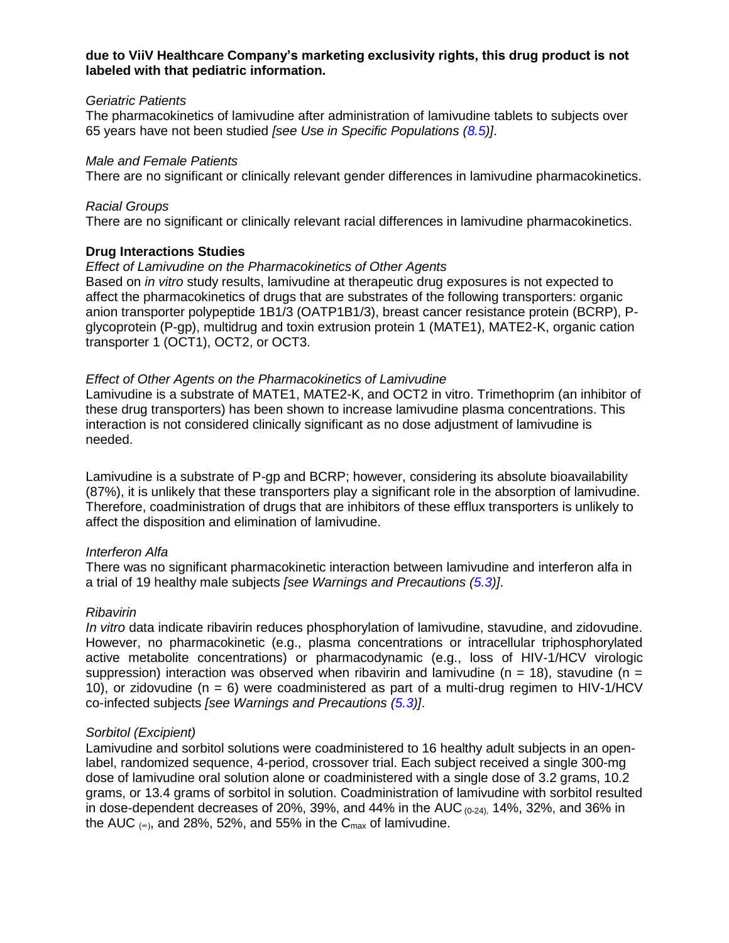#### **due to ViiV Healthcare Company's marketing exclusivity rights, this drug product is not labeled with that pediatric information.**

#### *Geriatric Patients*

The pharmacokinetics of lamivudine after administration of lamivudine tablets to subjects over 65 years have not been studied *[see Use in Specific Populations [\(8.5\)](#page-11-1)]*.

#### *Male and Female Patients*

There are no significant or clinically relevant gender differences in lamivudine pharmacokinetics.

### *Racial Groups*

There are no significant or clinically relevant racial differences in lamivudine pharmacokinetics.

### **Drug Interactions Studies**

#### *Effect of Lamivudine on the Pharmacokinetics of Other Agents*

Based on *in vitro* study results, lamivudine at therapeutic drug exposures is not expected to affect the pharmacokinetics of drugs that are substrates of the following transporters: organic anion transporter polypeptide 1B1/3 (OATP1B1/3), breast cancer resistance protein (BCRP), Pglycoprotein (P-gp), multidrug and toxin extrusion protein 1 (MATE1), MATE2-K, organic cation transporter 1 (OCT1), OCT2, or OCT3.

### *Effect of Other Agents on the Pharmacokinetics of Lamivudine*

Lamivudine is a substrate of MATE1, MATE2-K, and OCT2 in vitro. Trimethoprim (an inhibitor of these drug transporters) has been shown to increase lamivudine plasma concentrations. This interaction is not considered clinically significant as no dose adjustment of lamivudine is needed.

Lamivudine is a substrate of P-gp and BCRP; however, considering its absolute bioavailability (87%), it is unlikely that these transporters play a significant role in the absorption of lamivudine. Therefore, coadministration of drugs that are inhibitors of these efflux transporters is unlikely to affect the disposition and elimination of lamivudine.

### *Interferon Alfa*

There was no significant pharmacokinetic interaction between lamivudine and interferon alfa in a trial of 19 healthy male subjects *[see Warnings and Precautions [\(5.3\)](#page-4-1)]*.

### *Ribavirin*

*In vitro* data indicate ribavirin reduces phosphorylation of lamivudine, stavudine, and zidovudine. However, no pharmacokinetic (e.g., plasma concentrations or intracellular triphosphorylated active metabolite concentrations) or pharmacodynamic (e.g., loss of HIV-1/HCV virologic suppression) interaction was observed when ribavirin and lamivudine (n = 18), stavudine (n = 10), or zidovudine ( $n = 6$ ) were coadministered as part of a multi-drug regimen to HIV-1/HCV co-infected subjects *[see Warnings and Precautions [\(5.3\)](#page-4-1)]*.

### *Sorbitol (Excipient)*

Lamivudine and sorbitol solutions were coadministered to 16 healthy adult subjects in an openlabel, randomized sequence, 4-period, crossover trial. Each subject received a single 300-mg dose of lamivudine oral solution alone or coadministered with a single dose of 3.2 grams, 10.2 grams, or 13.4 grams of sorbitol in solution. Coadministration of lamivudine with sorbitol resulted in dose-dependent decreases of 20%, 39%, and 44% in the AUC  $_{(0.24)}$ , 14%, 32%, and 36% in the AUC  $_{(∞)}$ , and 28%, 52%, and 55% in the C<sub>max</sub> of lamivudine.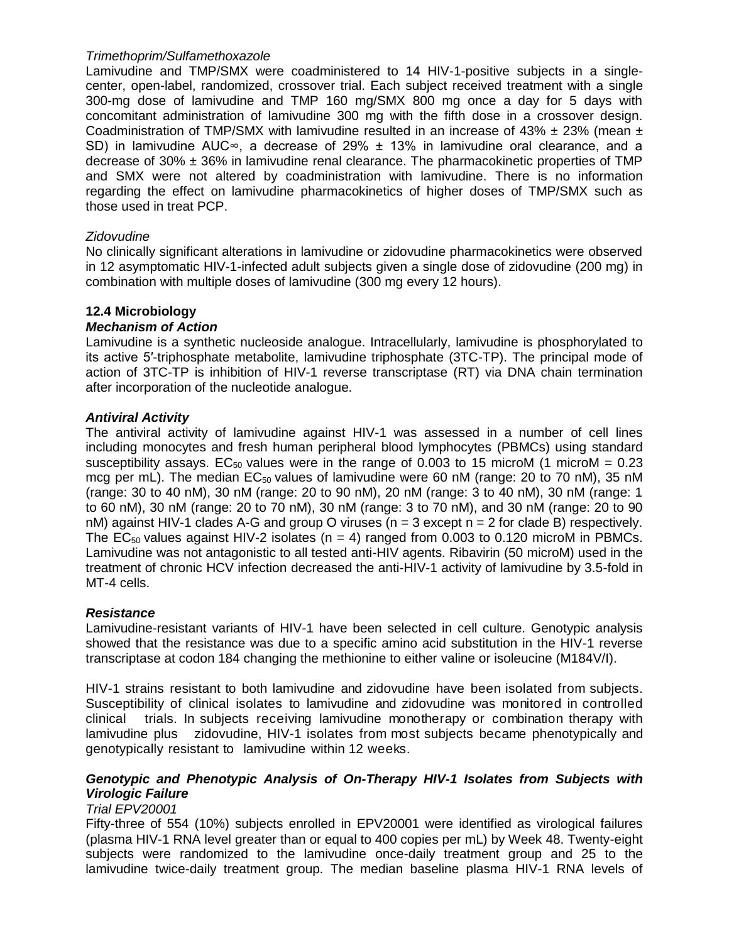### *Trimethoprim/Sulfamethoxazole*

Lamivudine and TMP/SMX were coadministered to 14 HIV-1-positive subjects in a singlecenter, open-label, randomized, crossover trial. Each subject received treatment with a single 300-mg dose of lamivudine and TMP 160 mg/SMX 800 mg once a day for 5 days with concomitant administration of lamivudine 300 mg with the fifth dose in a crossover design. Coadministration of TMP/SMX with lamivudine resulted in an increase of 43%  $\pm$  23% (mean  $\pm$ SD) in lamivudine AUC∞, a decrease of 29% ± 13% in lamivudine oral clearance, and a decrease of  $30\% \pm 36\%$  in lamivudine renal clearance. The pharmacokinetic properties of TMP and SMX were not altered by coadministration with lamivudine. There is no information regarding the effect on lamivudine pharmacokinetics of higher doses of TMP/SMX such as those used in treat PCP.

### *Zidovudine*

No clinically significant alterations in lamivudine or zidovudine pharmacokinetics were observed in 12 asymptomatic HIV-1-infected adult subjects given a single dose of zidovudine (200 mg) in combination with multiple doses of lamivudine (300 mg every 12 hours).

### <span id="page-16-0"></span>**12.4 Microbiology**

#### *Mechanism of Action*

Lamivudine is a synthetic nucleoside analogue. Intracellularly, lamivudine is phosphorylated to its active 5′-triphosphate metabolite, lamivudine triphosphate (3TC-TP). The principal mode of action of 3TC-TP is inhibition of HIV-1 reverse transcriptase (RT) via DNA chain termination after incorporation of the nucleotide analogue.

### *Antiviral Activity*

The antiviral activity of lamivudine against HIV-1 was assessed in a number of cell lines including monocytes and fresh human peripheral blood lymphocytes (PBMCs) using standard susceptibility assays. EC<sub>50</sub> values were in the range of 0.003 to 15 microM (1 microM = 0.23 mcg per mL). The median  $EC_{50}$  values of lamivudine were 60 nM (range: 20 to 70 nM), 35 nM (range: 30 to 40 nM), 30 nM (range: 20 to 90 nM), 20 nM (range: 3 to 40 nM), 30 nM (range: 1 to 60 nM), 30 nM (range: 20 to 70 nM), 30 nM (range: 3 to 70 nM), and 30 nM (range: 20 to 90 nM) against HIV-1 clades A-G and group O viruses (n = 3 except n = 2 for clade B) respectively. The  $EC_{50}$  values against HIV-2 isolates (n = 4) ranged from 0.003 to 0.120 microM in PBMCs. Lamivudine was not antagonistic to all tested anti-HIV agents. Ribavirin (50 microM) used in the treatment of chronic HCV infection decreased the anti-HIV-1 activity of lamivudine by 3.5-fold in MT-4 cells.

#### *Resistance*

Lamivudine-resistant variants of HIV-1 have been selected in cell culture. Genotypic analysis showed that the resistance was due to a specific amino acid substitution in the HIV-1 reverse transcriptase at codon 184 changing the methionine to either valine or isoleucine (M184V/I).

HIV-1 strains resistant to both lamivudine and zidovudine have been isolated from subjects. Susceptibility of clinical isolates to lamivudine and zidovudine was monitored in controlled clinical trials. In subjects receiving lamivudine monotherapy or combination therapy with lamivudine plus zidovudine, HIV-1 isolates from most subjects became phenotypically and genotypically resistant to lamivudine within 12 weeks.

### *Genotypic and Phenotypic Analysis of On-Therapy HIV-1 Isolates from Subjects with Virologic Failure*

#### *Trial EPV20001*

Fifty-three of 554 (10%) subjects enrolled in EPV20001 were identified as virological failures (plasma HIV-1 RNA level greater than or equal to 400 copies per mL) by Week 48. Twenty-eight subjects were randomized to the lamivudine once-daily treatment group and 25 to the lamivudine twice-daily treatment group. The median baseline plasma HIV-1 RNA levels of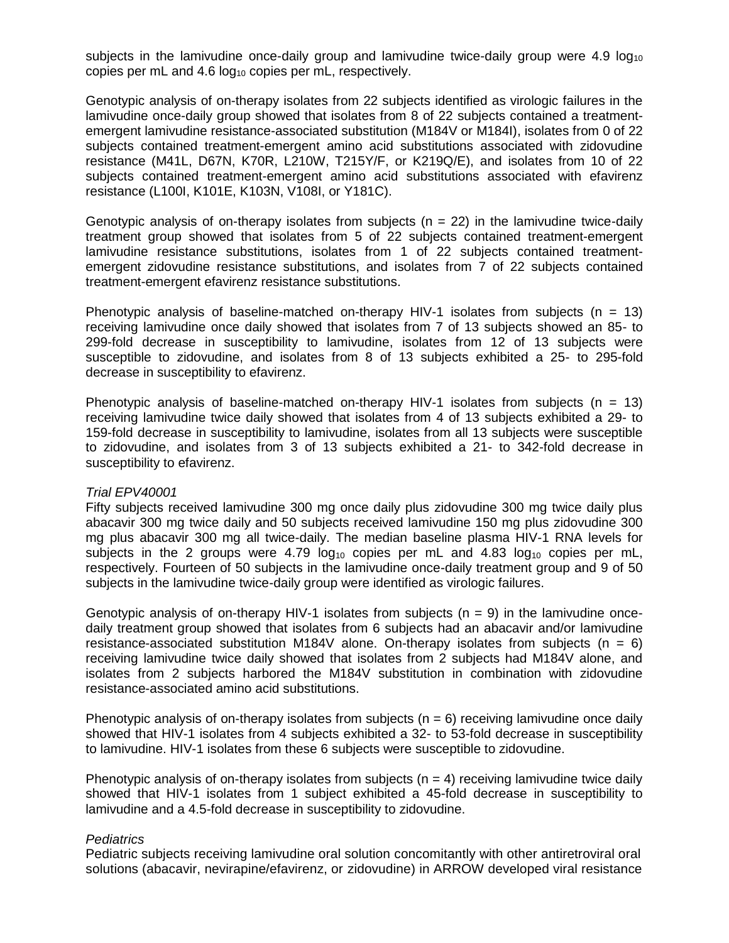subjects in the lamivudine once-daily group and lamivudine twice-daily group were  $4.9 \log_{10}$ copies per mL and 4.6  $log_{10}$  copies per mL, respectively.

Genotypic analysis of on-therapy isolates from 22 subjects identified as virologic failures in the lamivudine once-daily group showed that isolates from 8 of 22 subjects contained a treatmentemergent lamivudine resistance-associated substitution (M184V or M184I), isolates from 0 of 22 subjects contained treatment-emergent amino acid substitutions associated with zidovudine resistance (M41L, D67N, K70R, L210W, T215Y/F, or K219Q/E), and isolates from 10 of 22 subjects contained treatment-emergent amino acid substitutions associated with efavirenz resistance (L100I, K101E, K103N, V108I, or Y181C).

Genotypic analysis of on-therapy isolates from subjects ( $n = 22$ ) in the lamivudine twice-daily treatment group showed that isolates from 5 of 22 subjects contained treatment-emergent lamivudine resistance substitutions, isolates from 1 of 22 subjects contained treatmentemergent zidovudine resistance substitutions, and isolates from 7 of 22 subjects contained treatment-emergent efavirenz resistance substitutions.

Phenotypic analysis of baseline-matched on-therapy HIV-1 isolates from subjects ( $n = 13$ ) receiving lamivudine once daily showed that isolates from 7 of 13 subjects showed an 85- to 299-fold decrease in susceptibility to lamivudine, isolates from 12 of 13 subjects were susceptible to zidovudine, and isolates from 8 of 13 subjects exhibited a 25- to 295-fold decrease in susceptibility to efavirenz.

Phenotypic analysis of baseline-matched on-therapy HIV-1 isolates from subjects ( $n = 13$ ) receiving lamivudine twice daily showed that isolates from 4 of 13 subjects exhibited a 29- to 159-fold decrease in susceptibility to lamivudine, isolates from all 13 subjects were susceptible to zidovudine, and isolates from 3 of 13 subjects exhibited a 21- to 342-fold decrease in susceptibility to efavirenz.

#### *Trial EPV40001*

Fifty subjects received lamivudine 300 mg once daily plus zidovudine 300 mg twice daily plus abacavir 300 mg twice daily and 50 subjects received lamivudine 150 mg plus zidovudine 300 mg plus abacavir 300 mg all twice-daily. The median baseline plasma HIV-1 RNA levels for subjects in the 2 groups were  $4.79 \log_{10}$  copies per mL and  $4.83 \log_{10}$  copies per mL, respectively. Fourteen of 50 subjects in the lamivudine once-daily treatment group and 9 of 50 subjects in the lamivudine twice-daily group were identified as virologic failures.

Genotypic analysis of on-therapy HIV-1 isolates from subjects ( $n = 9$ ) in the lamivudine oncedaily treatment group showed that isolates from 6 subjects had an abacavir and/or lamivudine resistance-associated substitution M184V alone. On-therapy isolates from subjects ( $n = 6$ ) receiving lamivudine twice daily showed that isolates from 2 subjects had M184V alone, and isolates from 2 subjects harbored the M184V substitution in combination with zidovudine resistance-associated amino acid substitutions.

Phenotypic analysis of on-therapy isolates from subjects ( $n = 6$ ) receiving lamivudine once daily showed that HIV-1 isolates from 4 subjects exhibited a 32- to 53-fold decrease in susceptibility to lamivudine. HIV-1 isolates from these 6 subjects were susceptible to zidovudine.

Phenotypic analysis of on-therapy isolates from subjects ( $n = 4$ ) receiving lamivudine twice daily showed that HIV-1 isolates from 1 subject exhibited a 45-fold decrease in susceptibility to lamivudine and a 4.5-fold decrease in susceptibility to zidovudine.

#### *Pediatrics*

Pediatric subjects receiving lamivudine oral solution concomitantly with other antiretroviral oral solutions (abacavir, nevirapine/efavirenz, or zidovudine) in ARROW developed viral resistance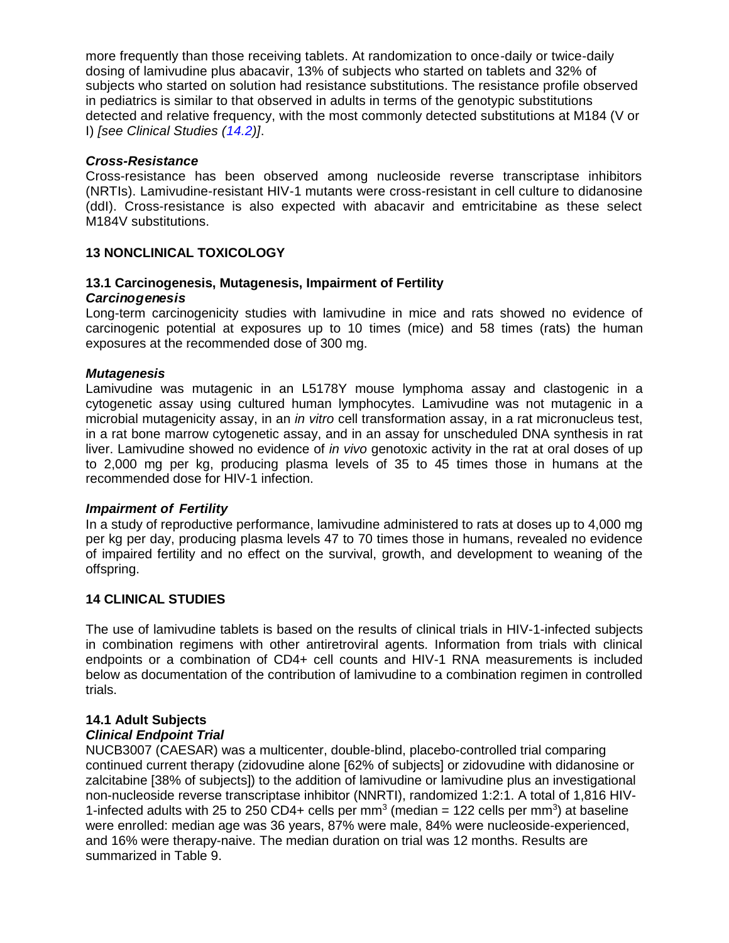more frequently than those receiving tablets. At randomization to once-daily or twice-daily dosing of lamivudine plus abacavir, 13% of subjects who started on tablets and 32% of subjects who started on solution had resistance substitutions. The resistance profile observed in pediatrics is similar to that observed in adults in terms of the genotypic substitutions detected and relative frequency, with the most commonly detected substitutions at M184 (V or I) *[see Clinical Studies [\(14.2\)](#page-20-0)]*.

### *Cross-Resistance*

Cross-resistance has been observed among nucleoside reverse transcriptase inhibitors (NRTIs). Lamivudine-resistant HIV-1 mutants were cross-resistant in cell culture to didanosine (ddI). Cross-resistance is also expected with abacavir and emtricitabine as these select M184V substitutions.

### <span id="page-18-0"></span>**13 NONCLINICAL TOXICOLOGY**

# <span id="page-18-1"></span>**13.1 Carcinogenesis, Mutagenesis, Impairment of Fertility**

### *Carcinogenesis*

Long-term carcinogenicity studies with lamivudine in mice and rats showed no evidence of carcinogenic potential at exposures up to 10 times (mice) and 58 times (rats) the human exposures at the recommended dose of 300 mg.

### *Mutagenesis*

Lamivudine was mutagenic in an L5178Y mouse lymphoma assay and clastogenic in a cytogenetic assay using cultured human lymphocytes. Lamivudine was not mutagenic in a microbial mutagenicity assay, in an *in vitro* cell transformation assay, in a rat micronucleus test, in a rat bone marrow cytogenetic assay, and in an assay for unscheduled DNA synthesis in rat liver. Lamivudine showed no evidence of *in vivo* genotoxic activity in the rat at oral doses of up to 2,000 mg per kg, producing plasma levels of 35 to 45 times those in humans at the recommended dose for HIV-1 infection.

#### *Impairment of Fertility*

In a study of reproductive performance, lamivudine administered to rats at doses up to 4,000 mg per kg per day, producing plasma levels 47 to 70 times those in humans, revealed no evidence of impaired fertility and no effect on the survival, growth, and development to weaning of the offspring.

#### <span id="page-18-2"></span>**14 CLINICAL STUDIES**

The use of lamivudine tablets is based on the results of clinical trials in HIV-1-infected subjects in combination regimens with other antiretroviral agents. Information from trials with clinical endpoints or a combination of CD4+ cell counts and HIV-1 RNA measurements is included below as documentation of the contribution of lamivudine to a combination regimen in controlled trials.

# <span id="page-18-3"></span>**14.1 Adult Subjects**

### *Clinical Endpoint Trial*

NUCB3007 (CAESAR) was a multicenter, double-blind, placebo-controlled trial comparing continued current therapy (zidovudine alone [62% of subjects] or zidovudine with didanosine or zalcitabine [38% of subjects]) to the addition of lamivudine or lamivudine plus an investigational non-nucleoside reverse transcriptase inhibitor (NNRTI), randomized 1:2:1. A total of 1,816 HIV-1-infected adults with 25 to 250 CD4+ cells per mm<sup>3</sup> (median = 122 cells per mm<sup>3</sup>) at baseline were enrolled: median age was 36 years, 87% were male, 84% were nucleoside-experienced, and 16% were therapy-naive. The median duration on trial was 12 months. Results are summarized in Table 9.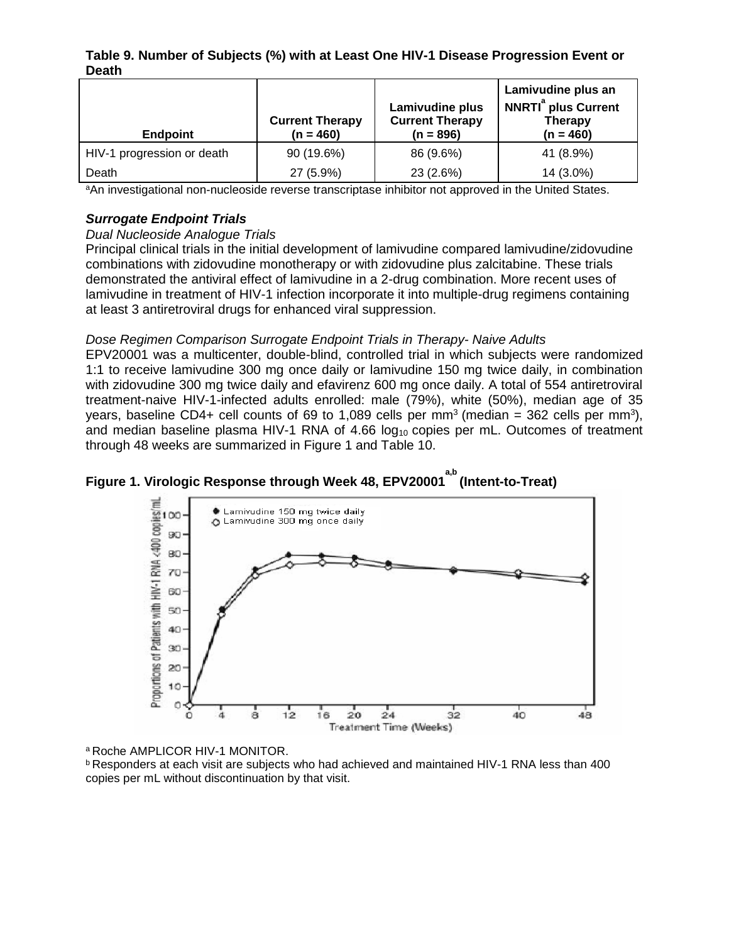### **Table 9. Number of Subjects (%) with at Least One HIV-1 Disease Progression Event or Death**

| <b>Endpoint</b>            | <b>Current Therapy</b><br>$(n = 460)$ | Lamivudine plus<br><b>Current Therapy</b><br>$(n = 896)$ | Lamivudine plus an<br><b>NNRTI<sup>ª</sup> plus Current</b><br><b>Therapy</b><br>$(n = 460)$ |
|----------------------------|---------------------------------------|----------------------------------------------------------|----------------------------------------------------------------------------------------------|
| HIV-1 progression or death | 90 (19.6%)                            | 86 (9.6%)                                                | 41 (8.9%)                                                                                    |
| Death                      | 27 (5.9%)                             | 23 (2.6%)                                                | 14 (3.0%)                                                                                    |

aAn investigational non-nucleoside reverse transcriptase inhibitor not approved in the United States.

## *Surrogate Endpoint Trials*

### *Dual Nucleoside Analogue Trials*

Principal clinical trials in the initial development of lamivudine compared lamivudine/zidovudine combinations with zidovudine monotherapy or with zidovudine plus zalcitabine. These trials demonstrated the antiviral effect of lamivudine in a 2-drug combination. More recent uses of lamivudine in treatment of HIV-1 infection incorporate it into multiple-drug regimens containing at least 3 antiretroviral drugs for enhanced viral suppression.

## *Dose Regimen Comparison Surrogate Endpoint Trials in Therapy- Naive Adults*

EPV20001 was a multicenter, double-blind, controlled trial in which subjects were randomized 1:1 to receive lamivudine 300 mg once daily or lamivudine 150 mg twice daily, in combination with zidovudine 300 mg twice daily and efavirenz 600 mg once daily. A total of 554 antiretroviral treatment-naive HIV-1-infected adults enrolled: male (79%), white (50%), median age of 35 years, baseline CD4+ cell counts of 69 to 1,089 cells per mm<sup>3</sup> (median = 362 cells per mm<sup>3</sup>), and median baseline plasma HIV-1 RNA of 4.66  $log<sub>10</sub>$  copies per mL. Outcomes of treatment through 48 weeks are summarized in Figure 1 and Table 10.





<sup>a</sup> Roche AMPLICOR HIV-1 MONITOR.

<sup>b</sup> Responders at each visit are subjects who had achieved and maintained HIV-1 RNA less than 400 copies per mL without discontinuation by that visit.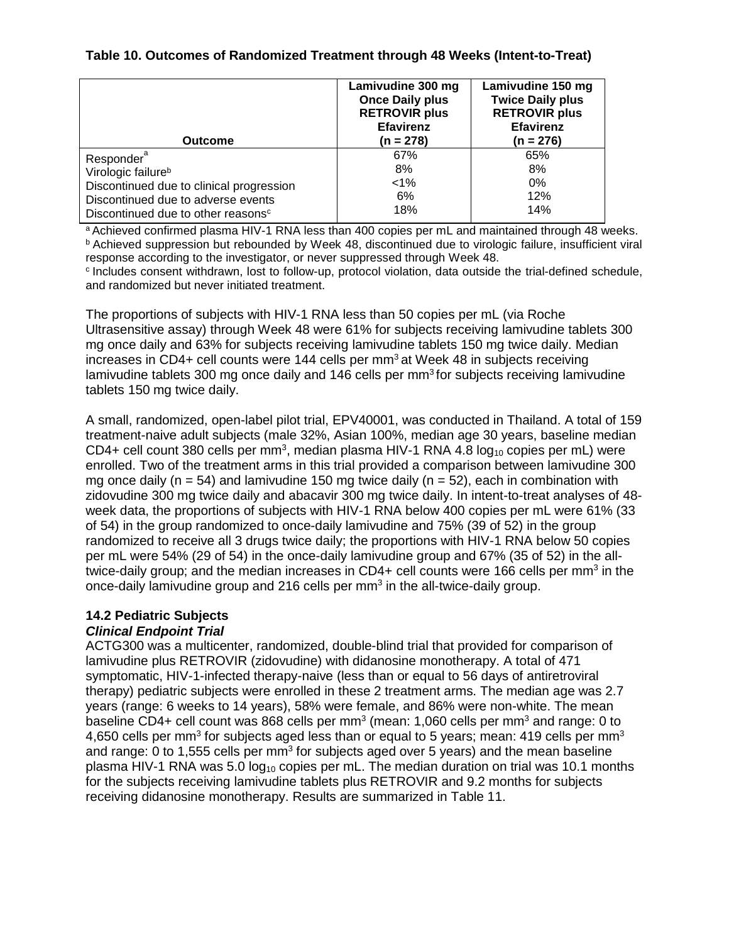## **Table 10. Outcomes of Randomized Treatment through 48 Weeks (Intent-to-Treat)**

| <b>Outcome</b>                                 | Lamivudine 300 mg<br><b>Once Daily plus</b><br><b>RETROVIR plus</b><br><b>Efavirenz</b><br>$(n = 278)$ | Lamivudine 150 mg<br><b>Twice Daily plus</b><br><b>RETROVIR plus</b><br><b>Efavirenz</b><br>$(n = 276)$ |
|------------------------------------------------|--------------------------------------------------------------------------------------------------------|---------------------------------------------------------------------------------------------------------|
|                                                |                                                                                                        |                                                                                                         |
| Responder <sup>a</sup>                         | 67%                                                                                                    | 65%                                                                                                     |
| Virologic failure <sup>b</sup>                 | 8%                                                                                                     | 8%                                                                                                      |
| Discontinued due to clinical progression       | 1%                                                                                                     | 0%                                                                                                      |
| Discontinued due to adverse events             | 6%                                                                                                     | 12%                                                                                                     |
| Discontinued due to other reasons <sup>c</sup> | 18%                                                                                                    | 14%                                                                                                     |

a Achieved confirmed plasma HIV-1 RNA less than 400 copies per mL and maintained through 48 weeks. <sup>b</sup> Achieved suppression but rebounded by Week 48, discontinued due to virologic failure, insufficient viral response according to the investigator, or never suppressed through Week 48.

c Includes consent withdrawn, lost to follow-up, protocol violation, data outside the trial-defined schedule, and randomized but never initiated treatment.

The proportions of subjects with HIV-1 RNA less than 50 copies per mL (via Roche Ultrasensitive assay) through Week 48 were 61% for subjects receiving lamivudine tablets 300 mg once daily and 63% for subjects receiving lamivudine tablets 150 mg twice daily. Median increases in CD4+ cell counts were 144 cells per  $mm<sup>3</sup>$  at Week 48 in subjects receiving lamivudine tablets 300 mg once daily and 146 cells per mm<sup>3</sup> for subjects receiving lamivudine tablets 150 mg twice daily.

A small, randomized, open-label pilot trial, EPV40001, was conducted in Thailand. A total of 159 treatment-naive adult subjects (male 32%, Asian 100%, median age 30 years, baseline median  $CD4+$  cell count 380 cells per mm<sup>3</sup>, median plasma HIV-1 RNA 4.8 log<sub>10</sub> copies per mL) were enrolled. Two of the treatment arms in this trial provided a comparison between lamivudine 300 mg once daily ( $n = 54$ ) and lamivudine 150 mg twice daily ( $n = 52$ ), each in combination with zidovudine 300 mg twice daily and abacavir 300 mg twice daily. In intent-to-treat analyses of 48 week data, the proportions of subjects with HIV-1 RNA below 400 copies per mL were 61% (33 of 54) in the group randomized to once-daily lamivudine and 75% (39 of 52) in the group randomized to receive all 3 drugs twice daily; the proportions with HIV-1 RNA below 50 copies per mL were 54% (29 of 54) in the once-daily lamivudine group and 67% (35 of 52) in the alltwice-daily group; and the median increases in CD4+ cell counts were 166 cells per mm<sup>3</sup> in the once-daily lamivudine group and 216 cells per mm<sup>3</sup> in the all-twice-daily group.

### <span id="page-20-0"></span>**14.2 Pediatric Subjects**

### *Clinical Endpoint Trial*

ACTG300 was a multicenter, randomized, double-blind trial that provided for comparison of lamivudine plus RETROVIR (zidovudine) with didanosine monotherapy. A total of 471 symptomatic, HIV-1-infected therapy-naive (less than or equal to 56 days of antiretroviral therapy) pediatric subjects were enrolled in these 2 treatment arms. The median age was 2.7 years (range: 6 weeks to 14 years), 58% were female, and 86% were non-white. The mean baseline CD4+ cell count was 868 cells per mm<sup>3</sup> (mean: 1,060 cells per mm<sup>3</sup> and range: 0 to 4,650 cells per mm<sup>3</sup> for subjects aged less than or equal to 5 years; mean: 419 cells per mm<sup>3</sup> and range: 0 to 1,555 cells per mm<sup>3</sup> for subjects aged over 5 years) and the mean baseline plasma HIV-1 RNA was 5.0  $log_{10}$  copies per mL. The median duration on trial was 10.1 months for the subjects receiving lamivudine tablets plus RETROVIR and 9.2 months for subjects receiving didanosine monotherapy. Results are summarized in Table 11.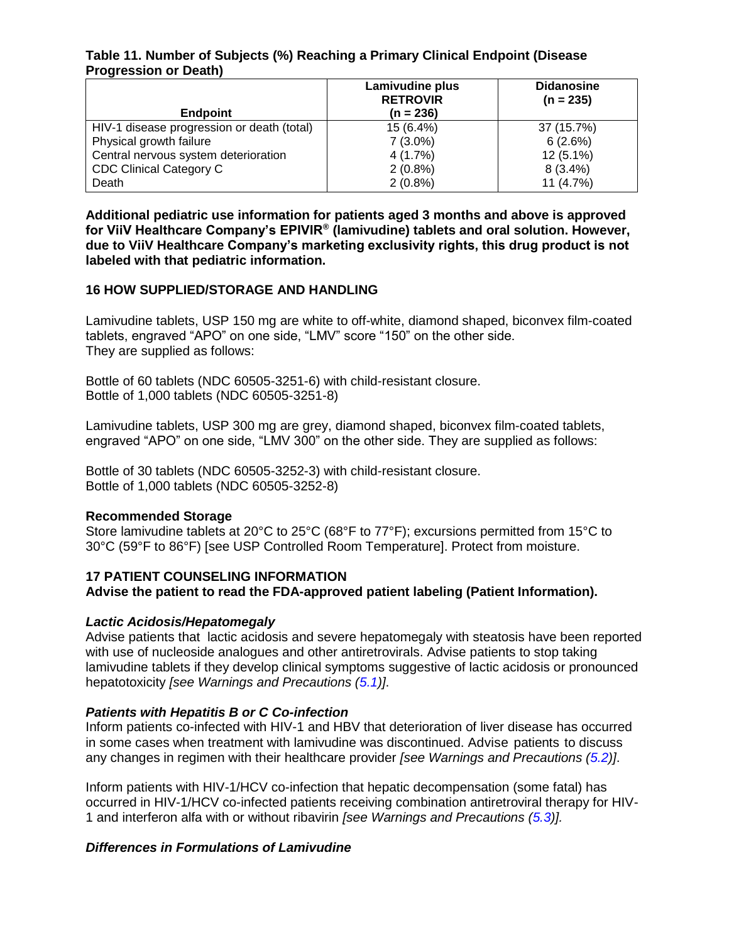### **Table 11. Number of Subjects (%) Reaching a Primary Clinical Endpoint (Disease Progression or Death)**

|                                            | Lamivudine plus<br><b>RETROVIR</b> | <b>Didanosine</b><br>$(n = 235)$ |
|--------------------------------------------|------------------------------------|----------------------------------|
| <b>Endpoint</b>                            | $(n = 236)$                        |                                  |
| HIV-1 disease progression or death (total) | 15 (6.4%)                          | 37 (15.7%)                       |
| Physical growth failure                    | $7(3.0\%)$                         | 6(2.6%)                          |
| Central nervous system deterioration       | 4 (1.7%)                           | $12(5.1\%)$                      |
| <b>CDC Clinical Category C</b>             | $2(0.8\%)$                         | $8(3.4\%)$                       |
| Death                                      | $2(0.8\%)$                         | 11 (4.7%)                        |

**Additional pediatric use information for patients aged 3 months and above is approved for ViiV Healthcare Company's EPIVIR® (lamivudine) tablets and oral solution. However, due to ViiV Healthcare Company's marketing exclusivity rights, this drug product is not labeled with that pediatric information.**

### <span id="page-21-1"></span>**16 HOW SUPPLIED/STORAGE AND HANDLING**

Lamivudine tablets, USP 150 mg are white to off-white, diamond shaped, biconvex film-coated tablets, engraved "APO" on one side, "LMV" score "150" on the other side. They are supplied as follows:

Bottle of 60 tablets (NDC 60505-3251-6) with child-resistant closure. Bottle of 1,000 tablets (NDC 60505-3251-8)

Lamivudine tablets, USP 300 mg are grey, diamond shaped, biconvex film-coated tablets, engraved "APO" on one side, "LMV 300" on the other side. They are supplied as follows:

Bottle of 30 tablets (NDC 60505-3252-3) with child-resistant closure. Bottle of 1,000 tablets (NDC 60505-3252-8)

### **Recommended Storage**

Store lamivudine tablets at 20°C to 25°C (68°F to 77°F); excursions permitted from 15°C to 30°C (59°F to 86°F) [see USP Controlled Room Temperature]. Protect from moisture.

## <span id="page-21-0"></span>**17 PATIENT COUNSELING INFORMATION Advise the patient to read the FDA-approved patient labeling (Patient Information).**

### *Lactic Acidosis/Hepatomegaly*

Advise patients that lactic acidosis and severe hepatomegaly with steatosis have been reported with use of nucleoside analogues and other antiretrovirals. Advise patients to stop taking lamivudine tablets if they develop clinical symptoms suggestive of lactic acidosis or pronounced hepatotoxicity *[see Warnings and Precautions [\(5.1\)](#page-3-0)]*.

### *Patients with Hepatitis B or C Co-infection*

Inform patients co-infected with HIV-1 and HBV that deterioration of liver disease has occurred in some cases when treatment with lamivudine was discontinued. Advise patients to discuss any changes in regimen with their healthcare provider *[see Warnings and Precautions [\(5.2\)](#page-4-0)]*.

Inform patients with HIV-1/HCV co-infection that hepatic decompensation (some fatal) has occurred in HIV-1/HCV co-infected patients receiving combination antiretroviral therapy for HIV-1 and interferon alfa with or without ribavirin *[see Warnings and Precautions [\(5.3\)](#page-4-1)].*

### *Differences in Formulations of Lamivudine*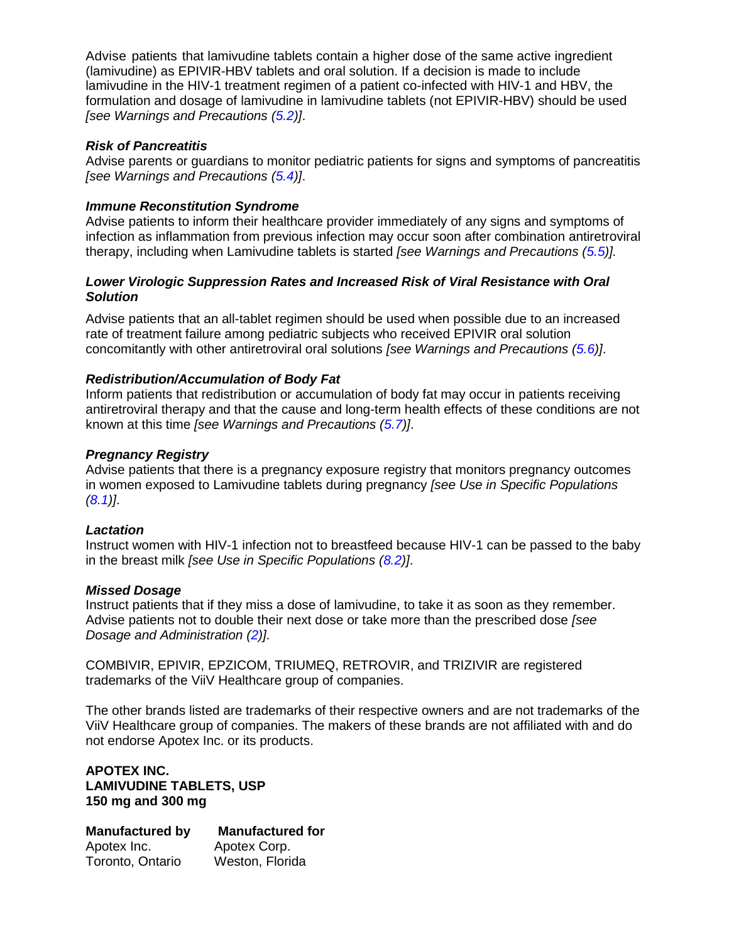Advise patients that lamivudine tablets contain a higher dose of the same active ingredient (lamivudine) as EPIVIR-HBV tablets and oral solution. If a decision is made to include lamivudine in the HIV-1 treatment regimen of a patient co-infected with HIV-1 and HBV, the formulation and dosage of lamivudine in lamivudine tablets (not EPIVIR-HBV) should be used *[see Warnings and Precautions [\(5.2\)](#page-4-0)]*.

### *Risk of Pancreatitis*

Advise parents or guardians to monitor pediatric patients for signs and symptoms of pancreatitis *[see Warnings and Precautions [\(5.4\)](#page-5-4)]*.

## *Immune Reconstitution Syndrome*

Advise patients to inform their healthcare provider immediately of any signs and symptoms of infection as inflammation from previous infection may occur soon after combination antiretroviral therapy, including when Lamivudine tablets is started *[see Warnings and Precautions [\(5.5\)](#page-5-1)].*

### *Lower Virologic Suppression Rates and Increased Risk of Viral Resistance with Oral Solution*

Advise patients that an all-tablet regimen should be used when possible due to an increased rate of treatment failure among pediatric subjects who received EPIVIR oral solution concomitantly with other antiretroviral oral solutions *[see Warnings and Precautions [\(5.6\)](#page-5-0)]*.

## *Redistribution/Accumulation of Body Fat*

Inform patients that redistribution or accumulation of body fat may occur in patients receiving antiretroviral therapy and that the cause and long-term health effects of these conditions are not known at this time *[see Warnings and Precautions [\(5.7\)](#page-5-2)]*.

## *Pregnancy Registry*

Advise patients that there is a pregnancy exposure registry that monitors pregnancy outcomes in women exposed to Lamivudine tablets during pregnancy *[see Use in Specific Populations [\(8.1\)](#page-10-2)]*.

### *Lactation*

Instruct women with HIV-1 infection not to breastfeed because HIV-1 can be passed to the baby in the breast milk *[see Use in Specific Populations [\(8.2\)](#page-10-0)]*.

### *Missed Dosage*

Instruct patients that if they miss a dose of lamivudine, to take it as soon as they remember. Advise patients not to double their next dose or take more than the prescribed dose *[see Dosage and Administration [\(2\)](#page-2-4)]*.

COMBIVIR, EPIVIR, EPZICOM, TRIUMEQ, RETROVIR, and TRIZIVIR are registered trademarks of the ViiV Healthcare group of companies.

The other brands listed are trademarks of their respective owners and are not trademarks of the ViiV Healthcare group of companies. The makers of these brands are not affiliated with and do not endorse Apotex Inc. or its products.

#### **APOTEX INC. LAMIVUDINE TABLETS, USP 150 mg and 300 mg**

**Manufactured by Manufactured for** Apotex Inc. Apotex Corp. Toronto, Ontario Weston, Florida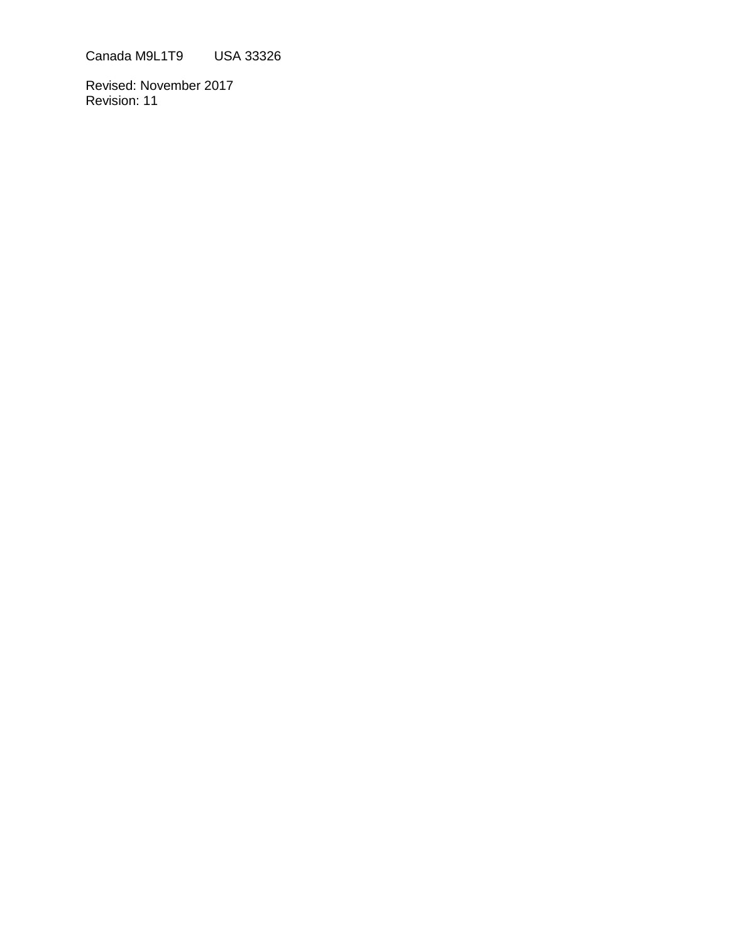Canada M9L1T9 USA 33326

Revised: November 2017 Revision: 11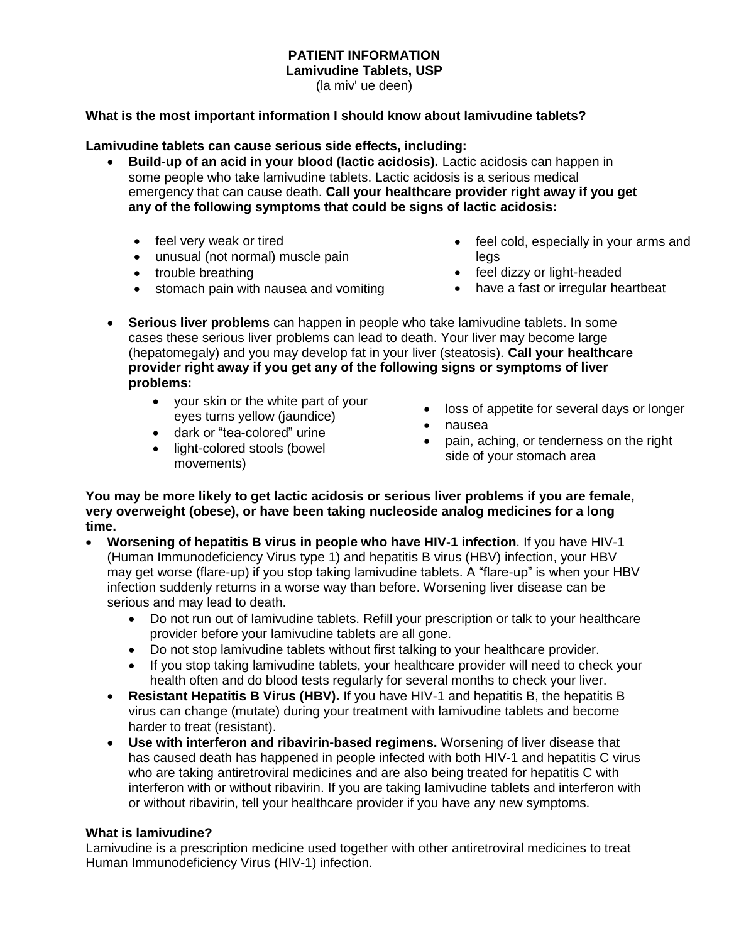# **PATIENT INFORMATION**

**Lamivudine Tablets, USP**

(la miv' ue deen)

### **What is the most important information I should know about lamivudine tablets?**

### **Lamivudine tablets can cause serious side effects, including:**

- **Build-up of an acid in your blood (lactic acidosis).** Lactic acidosis can happen in some people who take lamivudine tablets. Lactic acidosis is a serious medical emergency that can cause death. **Call your healthcare provider right away if you get any of the following symptoms that could be signs of lactic acidosis:** 
	- feel very weak or tired
	- unusual (not normal) muscle pain
	- trouble breathing
	- stomach pain with nausea and vomiting
- feel cold, especially in your arms and legs
- feel dizzy or light-headed
- have a fast or irregular heartbeat
- **Serious liver problems** can happen in people who take lamivudine tablets. In some cases these serious liver problems can lead to death. Your liver may become large (hepatomegaly) and you may develop fat in your liver (steatosis). **Call your healthcare provider right away if you get any of the following signs or symptoms of liver problems:**
	- your skin or the white part of your eyes turns yellow (jaundice)
	- dark or "tea-colored" urine
	- light-colored stools (bowel movements)
- nausea pain, aching, or tenderness on the right side of your stomach area

loss of appetite for several days or longer

**You may be more likely to get lactic acidosis or serious liver problems if you are female, very overweight (obese), or have been taking nucleoside analog medicines for a long time.**

- **Worsening of hepatitis B virus in people who have HIV-1 infection**. If you have HIV-1 (Human Immunodeficiency Virus type 1) and hepatitis B virus (HBV) infection, your HBV may get worse (flare-up) if you stop taking lamivudine tablets. A "flare-up" is when your HBV infection suddenly returns in a worse way than before. Worsening liver disease can be serious and may lead to death.
	- Do not run out of lamivudine tablets. Refill your prescription or talk to your healthcare provider before your lamivudine tablets are all gone.
	- Do not stop lamivudine tablets without first talking to your healthcare provider.
	- If you stop taking lamivudine tablets, your healthcare provider will need to check your health often and do blood tests regularly for several months to check your liver.
	- **Resistant Hepatitis B Virus (HBV).** If you have HIV-1 and hepatitis B, the hepatitis B virus can change (mutate) during your treatment with lamivudine tablets and become harder to treat (resistant).
	- **Use with interferon and ribavirin-based regimens.** Worsening of liver disease that has caused death has happened in people infected with both HIV-1 and hepatitis C virus who are taking antiretroviral medicines and are also being treated for hepatitis C with interferon with or without ribavirin. If you are taking lamivudine tablets and interferon with or without ribavirin, tell your healthcare provider if you have any new symptoms.

### **What is lamivudine?**

Lamivudine is a prescription medicine used together with other antiretroviral medicines to treat Human Immunodeficiency Virus (HIV-1) infection.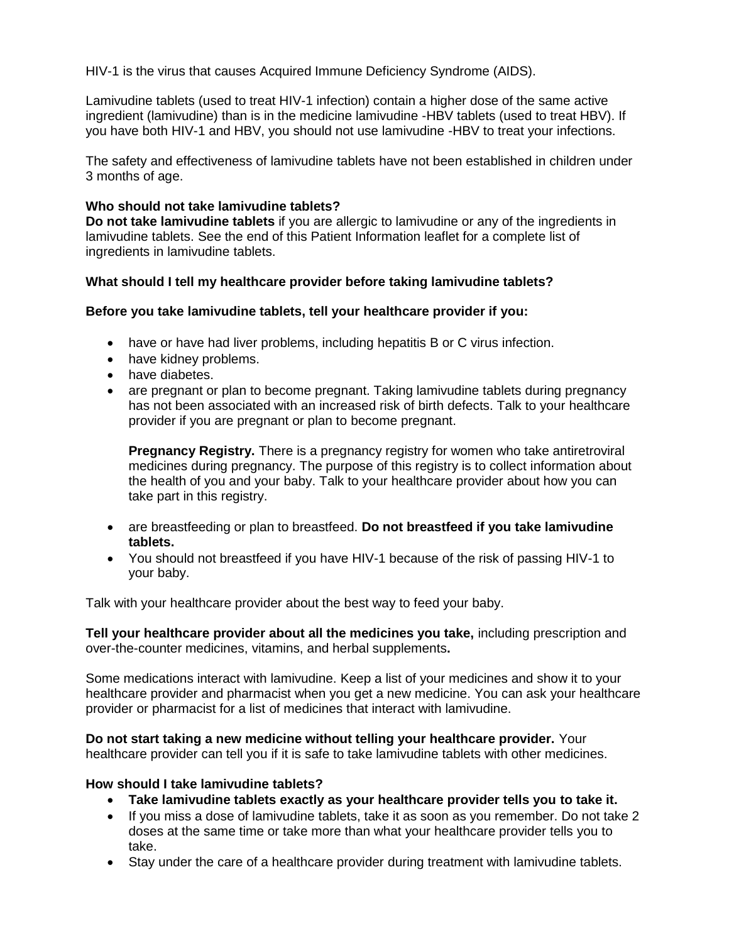HIV-1 is the virus that causes Acquired Immune Deficiency Syndrome (AIDS).

Lamivudine tablets (used to treat HIV-1 infection) contain a higher dose of the same active ingredient (lamivudine) than is in the medicine lamivudine -HBV tablets (used to treat HBV). If you have both HIV-1 and HBV, you should not use lamivudine -HBV to treat your infections.

The safety and effectiveness of lamivudine tablets have not been established in children under 3 months of age.

### **Who should not take lamivudine tablets?**

**Do not take lamivudine tablets** if you are allergic to lamivudine or any of the ingredients in lamivudine tablets. See the end of this Patient Information leaflet for a complete list of ingredients in lamivudine tablets.

## **What should I tell my healthcare provider before taking lamivudine tablets?**

## **Before you take lamivudine tablets, tell your healthcare provider if you:**

- have or have had liver problems, including hepatitis B or C virus infection.
- have kidney problems.
- have diabetes.
- are pregnant or plan to become pregnant. Taking lamivudine tablets during pregnancy has not been associated with an increased risk of birth defects. Talk to your healthcare provider if you are pregnant or plan to become pregnant.

**Pregnancy Registry.** There is a pregnancy registry for women who take antiretroviral medicines during pregnancy. The purpose of this registry is to collect information about the health of you and your baby. Talk to your healthcare provider about how you can take part in this registry.

- are breastfeeding or plan to breastfeed. **Do not breastfeed if you take lamivudine tablets.**
- You should not breastfeed if you have HIV-1 because of the risk of passing HIV-1 to your baby.

Talk with your healthcare provider about the best way to feed your baby.

**Tell your healthcare provider about all the medicines you take,** including prescription and over-the-counter medicines, vitamins, and herbal supplements**.** 

Some medications interact with lamivudine. Keep a list of your medicines and show it to your healthcare provider and pharmacist when you get a new medicine. You can ask your healthcare provider or pharmacist for a list of medicines that interact with lamivudine.

**Do not start taking a new medicine without telling your healthcare provider.** Your healthcare provider can tell you if it is safe to take lamivudine tablets with other medicines.

### **How should I take lamivudine tablets?**

- **Take lamivudine tablets exactly as your healthcare provider tells you to take it.**
- If you miss a dose of lamivudine tablets, take it as soon as you remember. Do not take 2 doses at the same time or take more than what your healthcare provider tells you to take.
- Stay under the care of a healthcare provider during treatment with lamivudine tablets.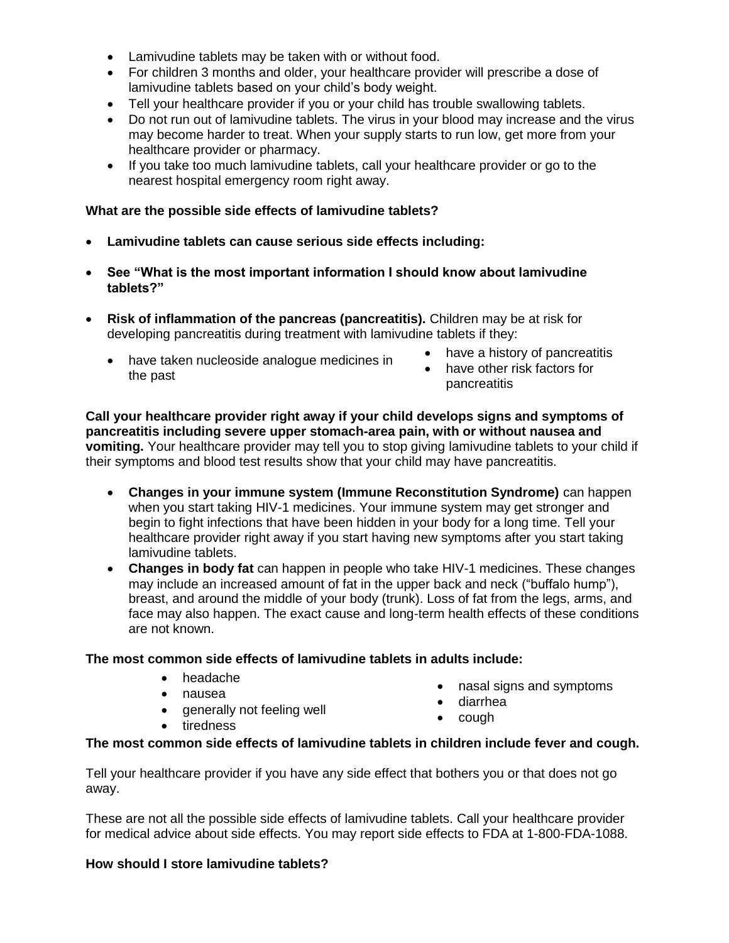- Lamivudine tablets may be taken with or without food.
- For children 3 months and older, your healthcare provider will prescribe a dose of lamivudine tablets based on your child's body weight.
- Tell your healthcare provider if you or your child has trouble swallowing tablets.
- Do not run out of lamivudine tablets. The virus in your blood may increase and the virus may become harder to treat. When your supply starts to run low, get more from your healthcare provider or pharmacy.
- If you take too much lamivudine tablets, call your healthcare provider or go to the nearest hospital emergency room right away.

### **What are the possible side effects of lamivudine tablets?**

- **Lamivudine tablets can cause serious side effects including:**
- **See "What is the most important information I should know about lamivudine tablets?"**
- **Risk of inflammation of the pancreas (pancreatitis).** Children may be at risk for developing pancreatitis during treatment with lamivudine tablets if they:
	- have taken nucleoside analogue medicines in the past
- have a history of pancreatitis
- have other risk factors for pancreatitis

**Call your healthcare provider right away if your child develops signs and symptoms of pancreatitis including severe upper stomach-area pain, with or without nausea and vomiting.** Your healthcare provider may tell you to stop giving lamivudine tablets to your child if their symptoms and blood test results show that your child may have pancreatitis.

- **Changes in your immune system (Immune Reconstitution Syndrome)** can happen when you start taking HIV-1 medicines. Your immune system may get stronger and begin to fight infections that have been hidden in your body for a long time. Tell your healthcare provider right away if you start having new symptoms after you start taking lamivudine tablets.
- **Changes in body fat** can happen in people who take HIV-1 medicines. These changes may include an increased amount of fat in the upper back and neck ("buffalo hump"), breast, and around the middle of your body (trunk). Loss of fat from the legs, arms, and face may also happen. The exact cause and long-term health effects of these conditions are not known.

### **The most common side effects of lamivudine tablets in adults include:**

• headache • nausea

• tiredness

nasal signs and symptoms

- diarrhea
- generally not feeling well
- $\bullet$  cough

### **The most common side effects of lamivudine tablets in children include fever and cough.**

Tell your healthcare provider if you have any side effect that bothers you or that does not go away.

These are not all the possible side effects of lamivudine tablets. Call your healthcare provider for medical advice about side effects. You may report side effects to FDA at 1-800-FDA-1088.

### **How should I store lamivudine tablets?**